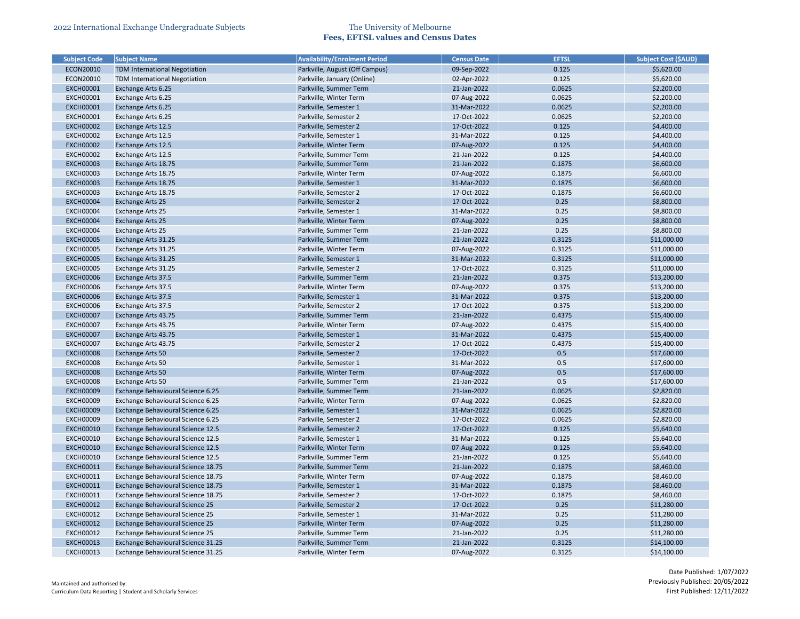| <b>Subject Code</b> | <b>Subject Name</b>                  | <b>Availability/Enrolment Period</b> | <b>Census Date</b> | <b>EFTSL</b> | <b>Subject Cost (\$AUD)</b> |
|---------------------|--------------------------------------|--------------------------------------|--------------------|--------------|-----------------------------|
| ECON20010           | <b>TDM International Negotiation</b> | Parkville, August (Off Campus)       | 09-Sep-2022        | 0.125        | \$5,620.00                  |
| ECON20010           | <b>TDM International Negotiation</b> | Parkville, January (Online)          | 02-Apr-2022        | 0.125        | \$5,620.00                  |
| <b>EXCH00001</b>    | Exchange Arts 6.25                   | Parkville, Summer Term               | 21-Jan-2022        | 0.0625       | \$2,200.00                  |
| <b>EXCH00001</b>    | Exchange Arts 6.25                   | Parkville, Winter Term               | 07-Aug-2022        | 0.0625       | \$2,200.00                  |
| <b>EXCH00001</b>    | Exchange Arts 6.25                   | Parkville, Semester 1                | 31-Mar-2022        | 0.0625       | \$2,200.00                  |
| <b>EXCH00001</b>    | Exchange Arts 6.25                   | Parkville, Semester 2                | 17-Oct-2022        | 0.0625       | \$2,200.00                  |
| <b>EXCH00002</b>    | Exchange Arts 12.5                   | Parkville, Semester 2                | 17-Oct-2022        | 0.125        | \$4,400.00                  |
| <b>EXCH00002</b>    | Exchange Arts 12.5                   | Parkville, Semester 1                | 31-Mar-2022        | 0.125        | \$4,400.00                  |
| <b>EXCH00002</b>    | Exchange Arts 12.5                   | Parkville, Winter Term               | 07-Aug-2022        | 0.125        | \$4,400.00                  |
| <b>EXCH00002</b>    | Exchange Arts 12.5                   | Parkville, Summer Term               | 21-Jan-2022        | 0.125        | \$4,400.00                  |
| <b>EXCH00003</b>    | Exchange Arts 18.75                  | Parkville, Summer Term               | 21-Jan-2022        | 0.1875       | \$6,600.00                  |
| <b>EXCH00003</b>    | Exchange Arts 18.75                  | Parkville, Winter Term               | 07-Aug-2022        | 0.1875       | \$6,600.00                  |
| <b>EXCH00003</b>    | Exchange Arts 18.75                  | Parkville, Semester 1                | 31-Mar-2022        | 0.1875       | \$6,600.00                  |
| <b>EXCH00003</b>    | Exchange Arts 18.75                  | Parkville, Semester 2                | 17-Oct-2022        | 0.1875       | \$6,600.00                  |
| <b>EXCH00004</b>    | <b>Exchange Arts 25</b>              | Parkville, Semester 2                | 17-Oct-2022        | 0.25         | \$8,800.00                  |
| <b>EXCH00004</b>    | Exchange Arts 25                     | Parkville, Semester 1                | 31-Mar-2022        | 0.25         | \$8,800.00                  |
| <b>EXCH00004</b>    | <b>Exchange Arts 25</b>              | Parkville, Winter Term               | 07-Aug-2022        | 0.25         | \$8,800.00                  |
| <b>EXCH00004</b>    | <b>Exchange Arts 25</b>              | Parkville, Summer Term               | 21-Jan-2022        | 0.25         | \$8,800.00                  |
| <b>EXCH00005</b>    | Exchange Arts 31.25                  | Parkville, Summer Term               | 21-Jan-2022        | 0.3125       | \$11,000.00                 |
| <b>EXCH00005</b>    | Exchange Arts 31.25                  | Parkville, Winter Term               | 07-Aug-2022        | 0.3125       | \$11,000.00                 |
| <b>EXCH00005</b>    | Exchange Arts 31.25                  | Parkville, Semester 1                | 31-Mar-2022        | 0.3125       | \$11,000.00                 |
| <b>EXCH00005</b>    | Exchange Arts 31.25                  | Parkville, Semester 2                | 17-Oct-2022        | 0.3125       | \$11,000.00                 |
| <b>EXCH00006</b>    | Exchange Arts 37.5                   | Parkville, Summer Term               | 21-Jan-2022        | 0.375        | \$13,200.00                 |
| <b>EXCH00006</b>    | Exchange Arts 37.5                   | Parkville, Winter Term               | 07-Aug-2022        | 0.375        | \$13,200.00                 |
| <b>EXCH00006</b>    | Exchange Arts 37.5                   | Parkville, Semester 1                | 31-Mar-2022        | 0.375        | \$13,200.00                 |
| <b>EXCH00006</b>    | Exchange Arts 37.5                   | Parkville, Semester 2                | 17-Oct-2022        | 0.375        | \$13,200.00                 |
| <b>EXCH00007</b>    | Exchange Arts 43.75                  | Parkville, Summer Term               | 21-Jan-2022        | 0.4375       | \$15,400.00                 |
| <b>EXCH00007</b>    | Exchange Arts 43.75                  | Parkville, Winter Term               | 07-Aug-2022        | 0.4375       | \$15,400.00                 |
| <b>EXCH00007</b>    | Exchange Arts 43.75                  | Parkville, Semester 1                | 31-Mar-2022        | 0.4375       | \$15,400.00                 |
| <b>EXCH00007</b>    | Exchange Arts 43.75                  | Parkville, Semester 2                | 17-Oct-2022        | 0.4375       | \$15,400.00                 |
| <b>EXCH00008</b>    | Exchange Arts 50                     | Parkville, Semester 2                | 17-Oct-2022        | 0.5          | \$17,600.00                 |
| <b>EXCH00008</b>    | Exchange Arts 50                     | Parkville, Semester 1                | 31-Mar-2022        | 0.5          | \$17,600.00                 |
| <b>EXCH00008</b>    | Exchange Arts 50                     |                                      |                    | 0.5          |                             |
|                     |                                      | Parkville, Winter Term               | 07-Aug-2022        |              | \$17,600.00                 |
| <b>EXCH00008</b>    | Exchange Arts 50                     | Parkville, Summer Term               | 21-Jan-2022        | 0.5          | \$17,600.00                 |
| <b>EXCH00009</b>    | Exchange Behavioural Science 6.25    | Parkville, Summer Term               | 21-Jan-2022        | 0.0625       | \$2,820.00                  |
| <b>EXCH00009</b>    | Exchange Behavioural Science 6.25    | Parkville, Winter Term               | 07-Aug-2022        | 0.0625       | \$2,820.00                  |
| <b>EXCH00009</b>    | Exchange Behavioural Science 6.25    | Parkville, Semester 1                | 31-Mar-2022        | 0.0625       | \$2,820.00                  |
| <b>EXCH00009</b>    | Exchange Behavioural Science 6.25    | Parkville, Semester 2                | 17-Oct-2022        | 0.0625       | \$2,820.00                  |
| <b>EXCH00010</b>    | Exchange Behavioural Science 12.5    | Parkville, Semester 2                | 17-Oct-2022        | 0.125        | \$5,640.00                  |
| <b>EXCH00010</b>    | Exchange Behavioural Science 12.5    | Parkville, Semester 1                | 31-Mar-2022        | 0.125        | \$5,640.00                  |
| <b>EXCH00010</b>    | Exchange Behavioural Science 12.5    | Parkville, Winter Term               | 07-Aug-2022        | 0.125        | \$5,640.00                  |
| <b>EXCH00010</b>    | Exchange Behavioural Science 12.5    | Parkville, Summer Term               | 21-Jan-2022        | 0.125        | \$5,640.00                  |
| <b>EXCH00011</b>    | Exchange Behavioural Science 18.75   | Parkville, Summer Term               | 21-Jan-2022        | 0.1875       | \$8,460.00                  |
| <b>EXCH00011</b>    | Exchange Behavioural Science 18.75   | Parkville, Winter Term               | 07-Aug-2022        | 0.1875       | \$8,460.00                  |
| <b>EXCH00011</b>    | Exchange Behavioural Science 18.75   | Parkville, Semester 1                | 31-Mar-2022        | 0.1875       | \$8,460.00                  |
| <b>EXCH00011</b>    | Exchange Behavioural Science 18.75   | Parkville, Semester 2                | 17-Oct-2022        | 0.1875       | \$8,460.00                  |
| <b>EXCH00012</b>    | Exchange Behavioural Science 25      | Parkville, Semester 2                | 17-Oct-2022        | 0.25         | \$11,280.00                 |
| <b>EXCH00012</b>    | Exchange Behavioural Science 25      | Parkville, Semester 1                | 31-Mar-2022        | 0.25         | \$11,280.00                 |
| <b>EXCH00012</b>    | Exchange Behavioural Science 25      | Parkville, Winter Term               | 07-Aug-2022        | 0.25         | \$11,280.00                 |
| <b>EXCH00012</b>    | Exchange Behavioural Science 25      | Parkville, Summer Term               | 21-Jan-2022        | 0.25         | \$11,280.00                 |
| <b>EXCH00013</b>    | Exchange Behavioural Science 31.25   | Parkville, Summer Term               | 21-Jan-2022        | 0.3125       | \$14,100.00                 |
| <b>EXCH00013</b>    | Exchange Behavioural Science 31.25   | Parkville, Winter Term               | 07-Aug-2022        | 0.3125       | \$14,100.00                 |

| <b>Subject Cost (\$AUD)</b> |
|-----------------------------|
| \$5,620.00                  |
| \$5,620.00                  |
| \$2,200.00                  |
| \$2,200.00                  |
| \$2,200.00                  |
| \$2,200.00                  |
| \$4,400.00                  |
| \$4,400.00                  |
| \$4,400.00                  |
| \$4,400.00                  |
| \$6,600.00                  |
| \$6,600.00                  |
| \$6,600.00                  |
| \$6,600.00                  |
| \$8,800.00                  |
| \$8,800.00                  |
| \$8,800.00                  |
| \$8,800.00                  |
| \$11,000.00                 |
| \$11,000.00                 |
| \$11,000.00                 |
| \$11,000.00                 |
| \$13,200.00                 |
| \$13,200.00                 |
| \$13,200.00                 |
| \$13,200.00                 |
| \$15,400.00                 |
| \$15,400.00                 |
| \$15,400.00                 |
| \$15,400.00                 |
| \$17,600.00                 |
| \$17,600.00                 |
| \$17,600.00                 |
| \$17,600.00                 |
| \$2,820.00                  |
| \$2,820.00                  |
| \$2,820.00                  |
| \$2,820.00                  |
| \$5,640.00                  |
| \$5,640.00                  |
| \$5,640.00                  |
| \$5,640.00                  |
| \$8,460.00                  |
| \$8,460.00                  |
| \$8,460.00                  |
|                             |
| \$8,460.00                  |
| \$11,280.00                 |
| \$11,280.00                 |
| \$11,280.00                 |
| \$11,280.00                 |
| \$14,100.00                 |
| \$14,100.00                 |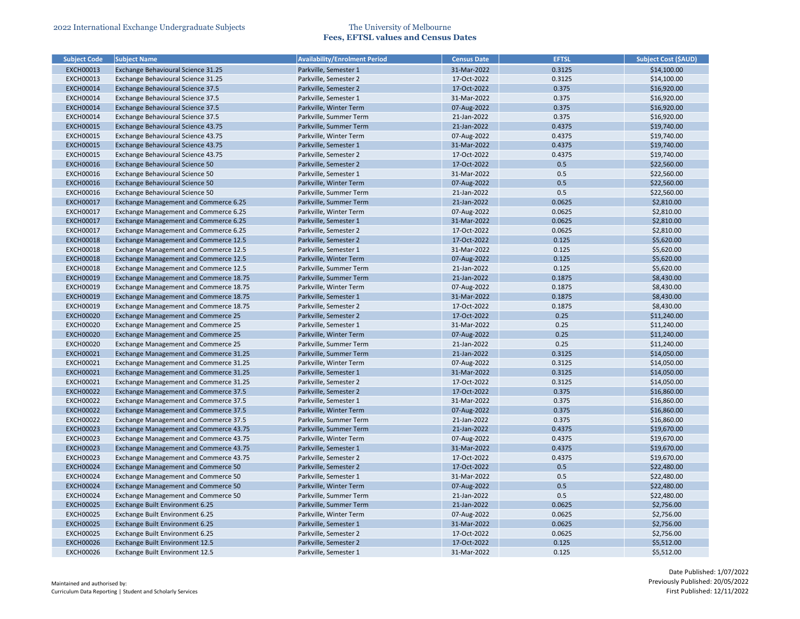| <b>Subject Code</b> | <b>Subject Name</b>                    | <b>Availability/Enrolment Period</b> | <b>Census Date</b> | <b>EFTSL</b> | <b>Subject Cost (\$AUD)</b> |
|---------------------|----------------------------------------|--------------------------------------|--------------------|--------------|-----------------------------|
| <b>EXCH00013</b>    | Exchange Behavioural Science 31.25     | Parkville, Semester 1                | 31-Mar-2022        | 0.3125       | \$14,100.00                 |
| <b>EXCH00013</b>    | Exchange Behavioural Science 31.25     | Parkville, Semester 2                | 17-Oct-2022        | 0.3125       | \$14,100.00                 |
| <b>EXCH00014</b>    | Exchange Behavioural Science 37.5      | Parkville, Semester 2                | 17-Oct-2022        | 0.375        | \$16,920.00                 |
| <b>EXCH00014</b>    | Exchange Behavioural Science 37.5      | Parkville, Semester 1                | 31-Mar-2022        | 0.375        | \$16,920.00                 |
| <b>EXCH00014</b>    | Exchange Behavioural Science 37.5      | Parkville, Winter Term               | 07-Aug-2022        | 0.375        | \$16,920.00                 |
| <b>EXCH00014</b>    | Exchange Behavioural Science 37.5      | Parkville, Summer Term               | 21-Jan-2022        | 0.375        | \$16,920.00                 |
| <b>EXCH00015</b>    | Exchange Behavioural Science 43.75     | Parkville, Summer Term               | 21-Jan-2022        | 0.4375       | \$19,740.00                 |
| <b>EXCH00015</b>    | Exchange Behavioural Science 43.75     | Parkville, Winter Term               | 07-Aug-2022        | 0.4375       | \$19,740.00                 |
| <b>EXCH00015</b>    | Exchange Behavioural Science 43.75     | Parkville, Semester 1                | 31-Mar-2022        | 0.4375       | \$19,740.00                 |
| <b>EXCH00015</b>    | Exchange Behavioural Science 43.75     | Parkville, Semester 2                | 17-Oct-2022        | 0.4375       | \$19,740.00                 |
| <b>EXCH00016</b>    | Exchange Behavioural Science 50        | Parkville, Semester 2                | 17-Oct-2022        | 0.5          | \$22,560.00                 |
| <b>EXCH00016</b>    | Exchange Behavioural Science 50        | Parkville, Semester 1                | 31-Mar-2022        | 0.5          | \$22,560.00                 |
| <b>EXCH00016</b>    | Exchange Behavioural Science 50        | Parkville, Winter Term               | 07-Aug-2022        | 0.5          | \$22,560.00                 |
| <b>EXCH00016</b>    | Exchange Behavioural Science 50        | Parkville, Summer Term               | 21-Jan-2022        | 0.5          | \$22,560.00                 |
| <b>EXCH00017</b>    | Exchange Management and Commerce 6.25  | Parkville, Summer Term               | 21-Jan-2022        | 0.0625       | \$2,810.00                  |
| <b>EXCH00017</b>    | Exchange Management and Commerce 6.25  | Parkville, Winter Term               | 07-Aug-2022        | 0.0625       | \$2,810.00                  |
| <b>EXCH00017</b>    | Exchange Management and Commerce 6.25  | Parkville, Semester 1                | 31-Mar-2022        | 0.0625       | \$2,810.00                  |
| <b>EXCH00017</b>    | Exchange Management and Commerce 6.25  | Parkville, Semester 2                | 17-Oct-2022        | 0.0625       | \$2,810.00                  |
| <b>EXCH00018</b>    | Exchange Management and Commerce 12.5  | Parkville, Semester 2                | 17-Oct-2022        | 0.125        | \$5,620.00                  |
| <b>EXCH00018</b>    | Exchange Management and Commerce 12.5  | Parkville, Semester 1                | 31-Mar-2022        | 0.125        | \$5,620.00                  |
| <b>EXCH00018</b>    | Exchange Management and Commerce 12.5  | Parkville, Winter Term               | 07-Aug-2022        | 0.125        | \$5,620.00                  |
| <b>EXCH00018</b>    | Exchange Management and Commerce 12.5  | Parkville, Summer Term               | 21-Jan-2022        | 0.125        | \$5,620.00                  |
| <b>EXCH00019</b>    | Exchange Management and Commerce 18.75 | Parkville, Summer Term               | 21-Jan-2022        | 0.1875       | \$8,430.00                  |
| <b>EXCH00019</b>    | Exchange Management and Commerce 18.75 | Parkville, Winter Term               | 07-Aug-2022        | 0.1875       | \$8,430.00                  |
| <b>EXCH00019</b>    | Exchange Management and Commerce 18.75 | Parkville, Semester 1                | 31-Mar-2022        | 0.1875       | \$8,430.00                  |
| <b>EXCH00019</b>    | Exchange Management and Commerce 18.75 | Parkville, Semester 2                | 17-Oct-2022        | 0.1875       | \$8,430.00                  |
| <b>EXCH00020</b>    | Exchange Management and Commerce 25    | Parkville, Semester 2                | 17-Oct-2022        | 0.25         | \$11,240.00                 |
| <b>EXCH00020</b>    | Exchange Management and Commerce 25    | Parkville, Semester 1                | 31-Mar-2022        | 0.25         | \$11,240.00                 |
| <b>EXCH00020</b>    | Exchange Management and Commerce 25    | Parkville, Winter Term               | 07-Aug-2022        | 0.25         | \$11,240.00                 |
| <b>EXCH00020</b>    | Exchange Management and Commerce 25    | Parkville, Summer Term               | 21-Jan-2022        | 0.25         | \$11,240.00                 |
| <b>EXCH00021</b>    | Exchange Management and Commerce 31.25 | Parkville, Summer Term               | 21-Jan-2022        | 0.3125       | \$14,050.00                 |
| <b>EXCH00021</b>    | Exchange Management and Commerce 31.25 | Parkville, Winter Term               | 07-Aug-2022        | 0.3125       | \$14,050.00                 |
| <b>EXCH00021</b>    | Exchange Management and Commerce 31.25 | Parkville, Semester 1                | 31-Mar-2022        | 0.3125       | \$14,050.00                 |
| <b>EXCH00021</b>    | Exchange Management and Commerce 31.25 | Parkville, Semester 2                | 17-Oct-2022        | 0.3125       | \$14,050.00                 |
| <b>EXCH00022</b>    | Exchange Management and Commerce 37.5  | Parkville, Semester 2                | 17-Oct-2022        | 0.375        | \$16,860.00                 |
| <b>EXCH00022</b>    | Exchange Management and Commerce 37.5  | Parkville, Semester 1                | 31-Mar-2022        | 0.375        | \$16,860.00                 |
| <b>EXCH00022</b>    | Exchange Management and Commerce 37.5  | Parkville, Winter Term               | 07-Aug-2022        | 0.375        | \$16,860.00                 |
| <b>EXCH00022</b>    | Exchange Management and Commerce 37.5  | Parkville, Summer Term               | 21-Jan-2022        | 0.375        | \$16,860.00                 |
| <b>EXCH00023</b>    | Exchange Management and Commerce 43.75 | Parkville, Summer Term               | 21-Jan-2022        | 0.4375       | \$19,670.00                 |
| <b>EXCH00023</b>    | Exchange Management and Commerce 43.75 | Parkville, Winter Term               | 07-Aug-2022        | 0.4375       | \$19,670.00                 |
| <b>EXCH00023</b>    | Exchange Management and Commerce 43.75 | Parkville, Semester 1                | 31-Mar-2022        | 0.4375       | \$19,670.00                 |
| <b>EXCH00023</b>    | Exchange Management and Commerce 43.75 | Parkville, Semester 2                | 17-Oct-2022        | 0.4375       | \$19,670.00                 |
| <b>EXCH00024</b>    | Exchange Management and Commerce 50    | Parkville, Semester 2                | 17-Oct-2022        | 0.5          | \$22,480.00                 |
| <b>EXCH00024</b>    | Exchange Management and Commerce 50    | Parkville, Semester 1                | 31-Mar-2022        | 0.5          | \$22,480.00                 |
| <b>EXCH00024</b>    | Exchange Management and Commerce 50    | Parkville, Winter Term               | 07-Aug-2022        | 0.5          | \$22,480.00                 |
| <b>EXCH00024</b>    | Exchange Management and Commerce 50    | Parkville, Summer Term               | 21-Jan-2022        | 0.5          | \$22,480.00                 |
| <b>EXCH00025</b>    | Exchange Built Environment 6.25        | Parkville, Summer Term               | 21-Jan-2022        | 0.0625       | \$2,756.00                  |
| <b>EXCH00025</b>    | Exchange Built Environment 6.25        | Parkville, Winter Term               | 07-Aug-2022        | 0.0625       | \$2,756.00                  |
| <b>EXCH00025</b>    | Exchange Built Environment 6.25        | Parkville, Semester 1                | 31-Mar-2022        | 0.0625       | \$2,756.00                  |
| <b>EXCH00025</b>    | Exchange Built Environment 6.25        | Parkville, Semester 2                | 17-Oct-2022        | 0.0625       | \$2,756.00                  |
| <b>EXCH00026</b>    | Exchange Built Environment 12.5        | Parkville, Semester 2                | 17-Oct-2022        | 0.125        | \$5,512.00                  |
| <b>EXCH00026</b>    | Exchange Built Environment 12.5        | Parkville, Semester 1                | 31-Mar-2022        | 0.125        | \$5,512.00                  |
|                     |                                        |                                      |                    |              |                             |

| <b>Subject Cost (SAUD)</b> |
|----------------------------|
| \$14,100.00                |
| \$14,100.00                |
| \$16,920.00                |
| \$16,920.00                |
| \$16,920.00                |
| \$16,920.00                |
| \$19,740.00                |
| \$19,740.00                |
| \$19,740.00                |
| \$19,740.00                |
| \$22,560.00                |
| \$22,560.00                |
| \$22,560.00                |
| \$22,560.00                |
| \$2,810.00                 |
| \$2,810.00                 |
| \$2,810.00                 |
| \$2,810.00                 |
| \$5,620.00                 |
| \$5,620.00                 |
| \$5,620.00                 |
| \$5,620.00                 |
| \$8,430.00                 |
| \$8,430.00                 |
| \$8,430.00                 |
| \$8,430.00                 |
| \$11,240.00                |
| \$11,240.00                |
| \$11,240.00                |
| \$11,240.00                |
| \$14,050.00                |
| \$14,050.00                |
| \$14,050.00                |
| \$14,050.00                |
| \$16,860.00                |
| \$16,860.00                |
| \$16,860.00                |
| \$16,860.00                |
| \$19,670.00                |
| \$19,670.00                |
| \$19,670.00                |
| \$19,670.00                |
| \$22,480.00                |
| \$22,480.00                |
| \$22,480.00                |
| \$22,480.00                |
| \$2,756.00                 |
| \$2,756.00                 |
| \$2,756.00                 |
| \$2,756.00                 |
| \$5,512.00                 |
| \$5,512.00                 |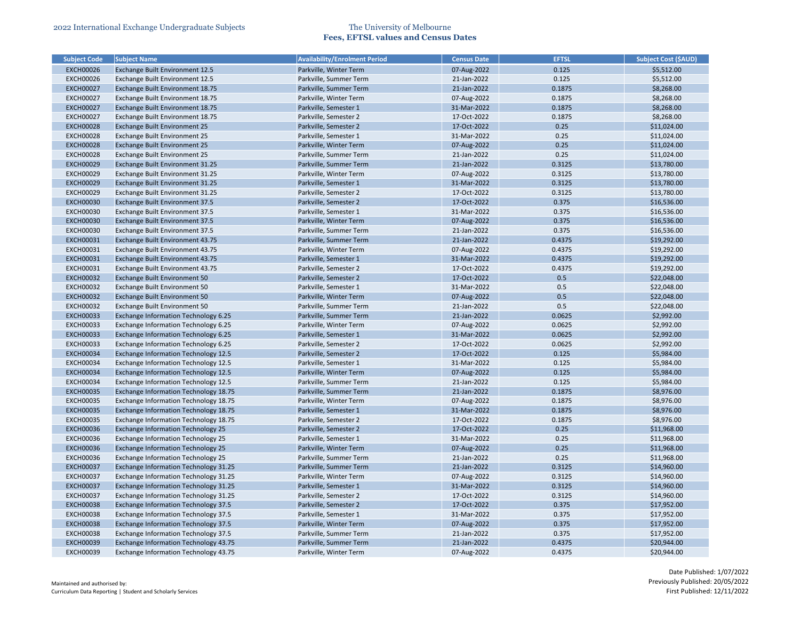| <b>Subject Code</b>                  | <b>Subject Name</b>                                                   | <b>Availability/Enrolment Period</b> | <b>Census Date</b>         | <b>EFTSL</b>     | <b>Subject Cost (\$AUD)</b> |
|--------------------------------------|-----------------------------------------------------------------------|--------------------------------------|----------------------------|------------------|-----------------------------|
| <b>EXCH00026</b>                     | Exchange Built Environment 12.5                                       | Parkville, Winter Term               | 07-Aug-2022                | 0.125            | \$5,512.00                  |
| <b>EXCH00026</b>                     | Exchange Built Environment 12.5                                       | Parkville, Summer Term               | 21-Jan-2022                | 0.125            | \$5,512.00                  |
| <b>EXCH00027</b>                     | Exchange Built Environment 18.75                                      | Parkville, Summer Term               | 21-Jan-2022                | 0.1875           | \$8,268.00                  |
| <b>EXCH00027</b>                     | Exchange Built Environment 18.75                                      | Parkville, Winter Term               | 07-Aug-2022                | 0.1875           | \$8,268.00                  |
| <b>EXCH00027</b>                     | Exchange Built Environment 18.75                                      | Parkville, Semester 1                | 31-Mar-2022                | 0.1875           | \$8,268.00                  |
| <b>EXCH00027</b>                     | Exchange Built Environment 18.75                                      | Parkville, Semester 2                | 17-Oct-2022                | 0.1875           | \$8,268.00                  |
| <b>EXCH00028</b>                     | Exchange Built Environment 25                                         | Parkville, Semester 2                | 17-Oct-2022                | 0.25             | \$11,024.00                 |
| <b>EXCH00028</b>                     | Exchange Built Environment 25                                         | Parkville, Semester 1                | 31-Mar-2022                | 0.25             | \$11,024.00                 |
| <b>EXCH00028</b>                     | Exchange Built Environment 25                                         | Parkville, Winter Term               | 07-Aug-2022                | 0.25             | \$11,024.00                 |
| <b>EXCH00028</b>                     | Exchange Built Environment 25                                         | Parkville, Summer Term               | 21-Jan-2022                | 0.25             | \$11,024.00                 |
| <b>EXCH00029</b>                     | Exchange Built Environment 31.25                                      | Parkville, Summer Term               | 21-Jan-2022                | 0.3125           | \$13,780.00                 |
| <b>EXCH00029</b>                     | Exchange Built Environment 31.25                                      | Parkville, Winter Term               | 07-Aug-2022                | 0.3125           | \$13,780.00                 |
| <b>EXCH00029</b>                     | Exchange Built Environment 31.25                                      | Parkville, Semester 1                | 31-Mar-2022                | 0.3125           | \$13,780.00                 |
| <b>EXCH00029</b>                     | Exchange Built Environment 31.25                                      | Parkville, Semester 2                | 17-Oct-2022                | 0.3125           | \$13,780.00                 |
| <b>EXCH00030</b>                     | Exchange Built Environment 37.5                                       | Parkville, Semester 2                | 17-Oct-2022                | 0.375            | \$16,536.00                 |
| <b>EXCH00030</b>                     | Exchange Built Environment 37.5                                       | Parkville, Semester 1                | 31-Mar-2022                | 0.375            | \$16,536.00                 |
| <b>EXCH00030</b>                     | Exchange Built Environment 37.5                                       | Parkville, Winter Term               | 07-Aug-2022                | 0.375            | \$16,536.00                 |
| <b>EXCH00030</b>                     | Exchange Built Environment 37.5                                       | Parkville, Summer Term               | 21-Jan-2022                | 0.375            | \$16,536.00                 |
| <b>EXCH00031</b>                     | Exchange Built Environment 43.75                                      | Parkville, Summer Term               | 21-Jan-2022                | 0.4375           | \$19,292.00                 |
| <b>EXCH00031</b>                     | Exchange Built Environment 43.75                                      | Parkville, Winter Term               | 07-Aug-2022                | 0.4375           | \$19,292.00                 |
| <b>EXCH00031</b>                     | Exchange Built Environment 43.75                                      | Parkville, Semester 1                | 31-Mar-2022                | 0.4375           | \$19,292.00                 |
| <b>EXCH00031</b>                     | Exchange Built Environment 43.75                                      | Parkville, Semester 2                | 17-Oct-2022                | 0.4375           | \$19,292.00                 |
| <b>EXCH00032</b>                     | Exchange Built Environment 50                                         | Parkville, Semester 2                | 17-Oct-2022                | 0.5              | \$22,048.00                 |
| <b>EXCH00032</b>                     | Exchange Built Environment 50                                         | Parkville, Semester 1                | 31-Mar-2022                | 0.5              | \$22,048.00                 |
| <b>EXCH00032</b>                     | Exchange Built Environment 50                                         | Parkville, Winter Term               | 07-Aug-2022                | 0.5              | \$22,048.00                 |
| <b>EXCH00032</b>                     |                                                                       | Parkville, Summer Term               | 21-Jan-2022                | 0.5              |                             |
|                                      | Exchange Built Environment 50<br>Exchange Information Technology 6.25 |                                      |                            |                  | \$22,048.00                 |
| <b>EXCH00033</b><br><b>EXCH00033</b> | Exchange Information Technology 6.25                                  | Parkville, Summer Term               | 21-Jan-2022                | 0.0625           | \$2,992.00                  |
|                                      |                                                                       | Parkville, Winter Term               | 07-Aug-2022                | 0.0625           | \$2,992.00                  |
| <b>EXCH00033</b>                     | Exchange Information Technology 6.25                                  | Parkville, Semester 1                | 31-Mar-2022<br>17-Oct-2022 | 0.0625<br>0.0625 | \$2,992.00<br>\$2,992.00    |
| <b>EXCH00033</b>                     | Exchange Information Technology 6.25                                  | Parkville, Semester 2                | 17-Oct-2022                |                  |                             |
| <b>EXCH00034</b>                     | <b>Exchange Information Technology 12.5</b>                           | Parkville, Semester 2                |                            | 0.125            | \$5,984.00                  |
| <b>EXCH00034</b>                     | Exchange Information Technology 12.5                                  | Parkville, Semester 1                | 31-Mar-2022                | 0.125            | \$5,984.00                  |
| <b>EXCH00034</b>                     | Exchange Information Technology 12.5                                  | Parkville, Winter Term               | 07-Aug-2022                | 0.125            | \$5,984.00                  |
| <b>EXCH00034</b>                     | <b>Exchange Information Technology 12.5</b>                           | Parkville, Summer Term               | 21-Jan-2022                | 0.125            | \$5,984.00                  |
| <b>EXCH00035</b>                     | Exchange Information Technology 18.75                                 | Parkville, Summer Term               | 21-Jan-2022                | 0.1875           | \$8,976.00                  |
| <b>EXCH00035</b>                     | Exchange Information Technology 18.75                                 | Parkville, Winter Term               | 07-Aug-2022                | 0.1875           | \$8,976.00                  |
| <b>EXCH00035</b>                     | Exchange Information Technology 18.75                                 | Parkville, Semester 1                | 31-Mar-2022                | 0.1875           | \$8,976.00                  |
| <b>EXCH00035</b>                     | Exchange Information Technology 18.75                                 | Parkville, Semester 2                | 17-Oct-2022                | 0.1875           | \$8,976.00                  |
| <b>EXCH00036</b>                     | <b>Exchange Information Technology 25</b>                             | Parkville, Semester 2                | 17-Oct-2022                | 0.25             | \$11,968.00                 |
| <b>EXCH00036</b>                     | <b>Exchange Information Technology 25</b>                             | Parkville, Semester 1                | 31-Mar-2022                | 0.25             | \$11,968.00                 |
| <b>EXCH00036</b>                     | <b>Exchange Information Technology 25</b>                             | Parkville, Winter Term               | 07-Aug-2022                | 0.25             | \$11,968.00                 |
| <b>EXCH00036</b>                     | Exchange Information Technology 25                                    | Parkville, Summer Term               | 21-Jan-2022                | 0.25             | \$11,968.00                 |
| <b>EXCH00037</b>                     | Exchange Information Technology 31.25                                 | Parkville, Summer Term               | 21-Jan-2022                | 0.3125           | \$14,960.00                 |
| <b>EXCH00037</b>                     | Exchange Information Technology 31.25                                 | Parkville, Winter Term               | 07-Aug-2022                | 0.3125           | \$14,960.00                 |
| <b>EXCH00037</b>                     | Exchange Information Technology 31.25                                 | Parkville, Semester 1                | 31-Mar-2022                | 0.3125           | \$14,960.00                 |
| <b>EXCH00037</b>                     | Exchange Information Technology 31.25                                 | Parkville, Semester 2                | 17-Oct-2022                | 0.3125           | \$14,960.00                 |
| <b>EXCH00038</b>                     | Exchange Information Technology 37.5                                  | Parkville, Semester 2                | 17-Oct-2022                | 0.375            | \$17,952.00                 |
| <b>EXCH00038</b>                     | <b>Exchange Information Technology 37.5</b>                           | Parkville, Semester 1                | 31-Mar-2022                | 0.375            | \$17,952.00                 |
| <b>EXCH00038</b>                     | Exchange Information Technology 37.5                                  | Parkville, Winter Term               | 07-Aug-2022                | 0.375            | \$17,952.00                 |
| <b>EXCH00038</b>                     | <b>Exchange Information Technology 37.5</b>                           | Parkville, Summer Term               | 21-Jan-2022                | 0.375            | \$17,952.00                 |
| <b>EXCH00039</b>                     | Exchange Information Technology 43.75                                 | Parkville, Summer Term               | 21-Jan-2022                | 0.4375           | \$20,944.00                 |
| <b>EXCH00039</b>                     | Exchange Information Technology 43.75                                 | Parkville, Winter Term               | 07-Aug-2022                | 0.4375           | \$20,944.00                 |

| <b>Subject Cost (\$AUD)</b> |
|-----------------------------|
| \$5,512.00                  |
| \$5,512.00                  |
| \$8,268.00                  |
| \$8,268.00                  |
| \$8,268.00                  |
| \$8,268.00                  |
| \$11,024.00                 |
| \$11,024.00                 |
| \$11,024.00                 |
| \$11,024.00                 |
| \$13,780.00                 |
|                             |
| \$13,780.00                 |
| \$13,780.00                 |
| \$13,780.00                 |
| \$16,536.00                 |
| \$16,536.00                 |
| \$16,536.00                 |
| \$16,536.00                 |
| \$19,292.00                 |
| \$19,292.00                 |
| \$19,292.00                 |
| \$19,292.00                 |
| \$22,048.00                 |
| \$22,048.00                 |
| \$22,048.00                 |
| \$22,048.00                 |
| \$2,992.00                  |
| \$2,992.00                  |
| \$2,992.00                  |
| \$2,992.00                  |
| \$5,984.00                  |
| \$5,984.00                  |
| \$5,984.00                  |
| \$5,984.00                  |
|                             |
| \$8,976.00                  |
| \$8,976.00                  |
| \$8,976.00                  |
| \$8,976.00                  |
| \$11,968.00                 |
| \$11,968.00                 |
| \$11,968.00                 |
| \$11,968.00                 |
| \$14,960.00                 |
| \$14,960.00                 |
| \$14,960.00                 |
| \$14,960.00                 |
| \$17,952.00                 |
| \$17,952.00                 |
| \$17,952.00                 |
| \$17,952.00                 |
| \$20,944.00                 |
| \$20,944.00                 |
|                             |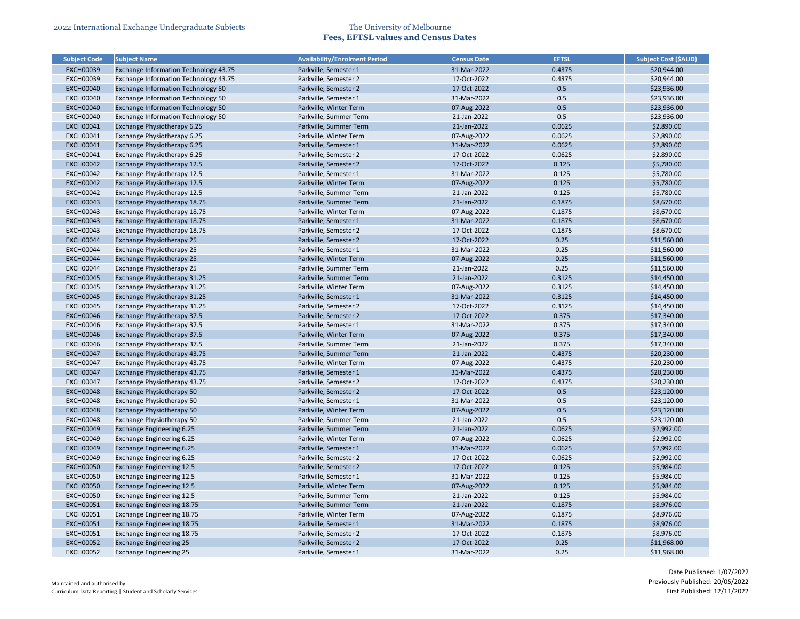| <b>Subject Code</b> | <b>Subject Name</b>                       | <b>Availability/Enrolment Period</b> | <b>Census Date</b> | <b>EFTSL</b> | <b>Subject Cost (\$AUD)</b> |
|---------------------|-------------------------------------------|--------------------------------------|--------------------|--------------|-----------------------------|
| <b>EXCH00039</b>    | Exchange Information Technology 43.75     | Parkville, Semester 1                | 31-Mar-2022        | 0.4375       | \$20,944.00                 |
| <b>EXCH00039</b>    | Exchange Information Technology 43.75     | Parkville, Semester 2                | 17-Oct-2022        | 0.4375       | \$20,944.00                 |
| <b>EXCH00040</b>    | Exchange Information Technology 50        | Parkville, Semester 2                | 17-Oct-2022        | 0.5          | \$23,936.00                 |
| <b>EXCH00040</b>    | Exchange Information Technology 50        | Parkville, Semester 1                | 31-Mar-2022        | 0.5          | \$23,936.00                 |
| <b>EXCH00040</b>    | Exchange Information Technology 50        | Parkville, Winter Term               | 07-Aug-2022        | 0.5          | \$23,936.00                 |
| <b>EXCH00040</b>    | <b>Exchange Information Technology 50</b> | Parkville, Summer Term               | 21-Jan-2022        | 0.5          | \$23,936.00                 |
| <b>EXCH00041</b>    | Exchange Physiotherapy 6.25               | Parkville, Summer Term               | 21-Jan-2022        | 0.0625       | \$2,890.00                  |
| <b>EXCH00041</b>    | Exchange Physiotherapy 6.25               | Parkville, Winter Term               | 07-Aug-2022        | 0.0625       | \$2,890.00                  |
| <b>EXCH00041</b>    | Exchange Physiotherapy 6.25               | Parkville, Semester 1                | 31-Mar-2022        | 0.0625       | \$2,890.00                  |
| <b>EXCH00041</b>    | Exchange Physiotherapy 6.25               | Parkville, Semester 2                | 17-Oct-2022        | 0.0625       | \$2,890.00                  |
| <b>EXCH00042</b>    | Exchange Physiotherapy 12.5               | Parkville, Semester 2                | 17-Oct-2022        | 0.125        | \$5,780.00                  |
| <b>EXCH00042</b>    | Exchange Physiotherapy 12.5               | Parkville, Semester 1                | 31-Mar-2022        | 0.125        | \$5,780.00                  |
| <b>EXCH00042</b>    | Exchange Physiotherapy 12.5               | Parkville, Winter Term               | 07-Aug-2022        | 0.125        | \$5,780.00                  |
| <b>EXCH00042</b>    | Exchange Physiotherapy 12.5               | Parkville, Summer Term               | 21-Jan-2022        | 0.125        | \$5,780.00                  |
| <b>EXCH00043</b>    | Exchange Physiotherapy 18.75              | Parkville, Summer Term               | 21-Jan-2022        | 0.1875       | \$8,670.00                  |
| <b>EXCH00043</b>    | Exchange Physiotherapy 18.75              | Parkville, Winter Term               | 07-Aug-2022        | 0.1875       | \$8,670.00                  |
| <b>EXCH00043</b>    | Exchange Physiotherapy 18.75              | Parkville, Semester 1                | 31-Mar-2022        | 0.1875       | \$8,670.00                  |
| <b>EXCH00043</b>    | Exchange Physiotherapy 18.75              | Parkville, Semester 2                | 17-Oct-2022        | 0.1875       | \$8,670.00                  |
| <b>EXCH00044</b>    | Exchange Physiotherapy 25                 | Parkville, Semester 2                | 17-Oct-2022        | 0.25         | \$11,560.00                 |
| <b>EXCH00044</b>    | Exchange Physiotherapy 25                 | Parkville, Semester 1                | 31-Mar-2022        | 0.25         | \$11,560.00                 |
| <b>EXCH00044</b>    | Exchange Physiotherapy 25                 | Parkville, Winter Term               | 07-Aug-2022        | 0.25         | \$11,560.00                 |
| <b>EXCH00044</b>    | Exchange Physiotherapy 25                 | Parkville, Summer Term               | 21-Jan-2022        | 0.25         | \$11,560.00                 |
| <b>EXCH00045</b>    | Exchange Physiotherapy 31.25              | Parkville, Summer Term               | 21-Jan-2022        | 0.3125       | \$14,450.00                 |
| <b>EXCH00045</b>    | Exchange Physiotherapy 31.25              | Parkville, Winter Term               | 07-Aug-2022        | 0.3125       | \$14,450.00                 |
| <b>EXCH00045</b>    | Exchange Physiotherapy 31.25              | Parkville, Semester 1                | 31-Mar-2022        | 0.3125       | \$14,450.00                 |
| <b>EXCH00045</b>    | Exchange Physiotherapy 31.25              | Parkville, Semester 2                | 17-Oct-2022        | 0.3125       | \$14,450.00                 |
| <b>EXCH00046</b>    | Exchange Physiotherapy 37.5               | Parkville, Semester 2                | 17-Oct-2022        | 0.375        | \$17,340.00                 |
| <b>EXCH00046</b>    | Exchange Physiotherapy 37.5               | Parkville, Semester 1                | 31-Mar-2022        | 0.375        | \$17,340.00                 |
| <b>EXCH00046</b>    | Exchange Physiotherapy 37.5               | Parkville, Winter Term               | 07-Aug-2022        | 0.375        | \$17,340.00                 |
| <b>EXCH00046</b>    | Exchange Physiotherapy 37.5               | Parkville, Summer Term               | 21-Jan-2022        | 0.375        | \$17,340.00                 |
| <b>EXCH00047</b>    | Exchange Physiotherapy 43.75              | Parkville, Summer Term               | 21-Jan-2022        | 0.4375       | \$20,230.00                 |
| <b>EXCH00047</b>    | Exchange Physiotherapy 43.75              | Parkville, Winter Term               | 07-Aug-2022        | 0.4375       | \$20,230.00                 |
| <b>EXCH00047</b>    | Exchange Physiotherapy 43.75              | Parkville, Semester 1                | 31-Mar-2022        | 0.4375       | \$20,230.00                 |
| <b>EXCH00047</b>    | Exchange Physiotherapy 43.75              | Parkville, Semester 2                | 17-Oct-2022        | 0.4375       | \$20,230.00                 |
| <b>EXCH00048</b>    | Exchange Physiotherapy 50                 | Parkville, Semester 2                | 17-Oct-2022        | 0.5          | \$23,120.00                 |
| <b>EXCH00048</b>    | Exchange Physiotherapy 50                 | Parkville, Semester 1                | 31-Mar-2022        | 0.5          | \$23,120.00                 |
| <b>EXCH00048</b>    | Exchange Physiotherapy 50                 | Parkville, Winter Term               | 07-Aug-2022        | 0.5          | \$23,120.00                 |
| <b>EXCH00048</b>    | Exchange Physiotherapy 50                 | Parkville, Summer Term               | 21-Jan-2022        | 0.5          | \$23,120.00                 |
| <b>EXCH00049</b>    | <b>Exchange Engineering 6.25</b>          | Parkville, Summer Term               | 21-Jan-2022        | 0.0625       | \$2,992.00                  |
| <b>EXCH00049</b>    | Exchange Engineering 6.25                 | Parkville, Winter Term               | 07-Aug-2022        | 0.0625       | \$2,992.00                  |
| <b>EXCH00049</b>    | <b>Exchange Engineering 6.25</b>          | Parkville, Semester 1                | 31-Mar-2022        | 0.0625       | \$2,992.00                  |
| <b>EXCH00049</b>    | Exchange Engineering 6.25                 | Parkville, Semester 2                | 17-Oct-2022        | 0.0625       | \$2,992.00                  |
| <b>EXCH00050</b>    | <b>Exchange Engineering 12.5</b>          | Parkville, Semester 2                | 17-Oct-2022        | 0.125        | \$5,984.00                  |
| <b>EXCH00050</b>    | <b>Exchange Engineering 12.5</b>          | Parkville, Semester 1                | 31-Mar-2022        | 0.125        | \$5,984.00                  |
| <b>EXCH00050</b>    | <b>Exchange Engineering 12.5</b>          | Parkville, Winter Term               | 07-Aug-2022        | 0.125        | \$5,984.00                  |
| <b>EXCH00050</b>    | <b>Exchange Engineering 12.5</b>          | Parkville, Summer Term               | 21-Jan-2022        | 0.125        | \$5,984.00                  |
| <b>EXCH00051</b>    | Exchange Engineering 18.75                | Parkville, Summer Term               | 21-Jan-2022        | 0.1875       | \$8,976.00                  |
| <b>EXCH00051</b>    | Exchange Engineering 18.75                | Parkville, Winter Term               | 07-Aug-2022        | 0.1875       | \$8,976.00                  |
| <b>EXCH00051</b>    | <b>Exchange Engineering 18.75</b>         | Parkville, Semester 1                | 31-Mar-2022        | 0.1875       | \$8,976.00                  |
| <b>EXCH00051</b>    | Exchange Engineering 18.75                | Parkville, Semester 2                | 17-Oct-2022        | 0.1875       | \$8,976.00                  |
| <b>EXCH00052</b>    | <b>Exchange Engineering 25</b>            | Parkville, Semester 2                | 17-Oct-2022        | 0.25         | \$11,968.00                 |
| <b>EXCH00052</b>    | <b>Exchange Engineering 25</b>            | Parkville, Semester 1                | 31-Mar-2022        | 0.25         | \$11,968.00                 |
|                     |                                           |                                      |                    |              |                             |

| <b>Subject Cost (SAUD)</b> |
|----------------------------|
| \$20,944.00                |
| \$20,944.00                |
| \$23,936.00                |
| \$23,936.00                |
| \$23,936.00                |
| \$23,936.00                |
| \$2,890.00                 |
| \$2,890.00                 |
| \$2,890.00                 |
| \$2,890.00                 |
| \$5,780.00                 |
| \$5,780.00                 |
| \$5,780.00                 |
| \$5,780.00                 |
| \$8,670.00                 |
| \$8,670.00                 |
| \$8,670.00                 |
| \$8,670.00                 |
| \$11,560.00                |
| \$11,560.00                |
| \$11,560.00                |
| \$11,560.00                |
| \$14,450.00                |
| \$14,450.00                |
| \$14,450.00                |
| \$14,450.00                |
| \$17,340.00                |
| \$17,340.00                |
| \$17,340.00                |
| \$17,340.00                |
| \$20,230.00                |
| \$20,230.00                |
| \$20,230.00                |
| \$20,230.00                |
| \$23,120.00                |
| \$23,120.00                |
| \$23,120.00                |
| \$23,120.00                |
| \$2,992.00                 |
| \$2,992.00                 |
| \$2,992.00                 |
| \$2,992.00                 |
| \$5,984.00                 |
| \$5,984.00                 |
| \$5,984.00                 |
| \$5,984.00                 |
| \$8,976.00                 |
| \$8,976.00                 |
| \$8,976.00                 |
| \$8,976.00                 |
| \$11,968.00                |
| \$11,968.00                |
|                            |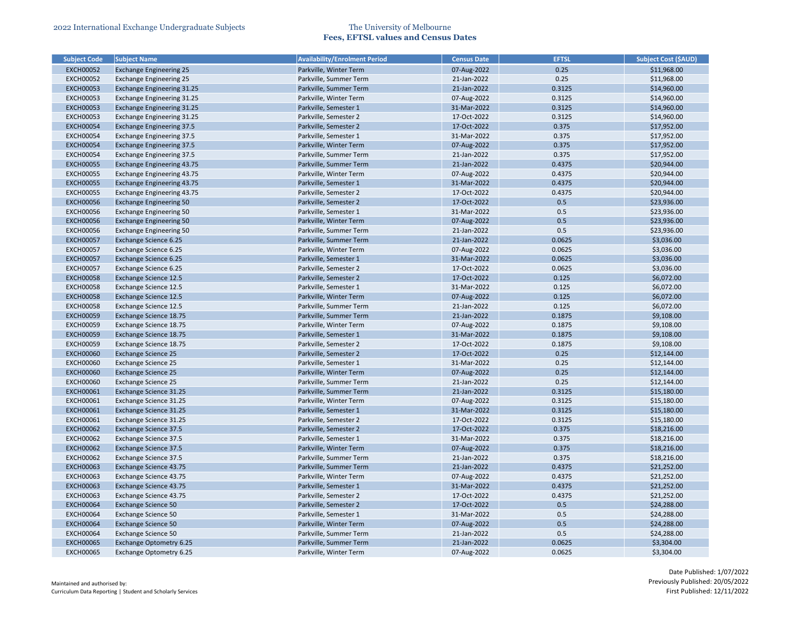| <b>Subject Code</b> | <b>Subject Name</b>               | <b>Availability/Enrolment Period</b> | <b>Census Date</b> | <b>EFTSL</b> | <b>Subject Cost (\$AUD)</b> |
|---------------------|-----------------------------------|--------------------------------------|--------------------|--------------|-----------------------------|
| <b>EXCH00052</b>    | <b>Exchange Engineering 25</b>    | Parkville, Winter Term               | 07-Aug-2022        | 0.25         | \$11,968.00                 |
| <b>EXCH00052</b>    | <b>Exchange Engineering 25</b>    | Parkville, Summer Term               | 21-Jan-2022        | 0.25         | \$11,968.00                 |
| <b>EXCH00053</b>    | <b>Exchange Engineering 31.25</b> | Parkville, Summer Term               | 21-Jan-2022        | 0.3125       | \$14,960.00                 |
| <b>EXCH00053</b>    | Exchange Engineering 31.25        | Parkville, Winter Term               | 07-Aug-2022        | 0.3125       | \$14,960.00                 |
| <b>EXCH00053</b>    | <b>Exchange Engineering 31.25</b> | Parkville, Semester 1                | 31-Mar-2022        | 0.3125       | \$14,960.00                 |
| <b>EXCH00053</b>    | Exchange Engineering 31.25        | Parkville, Semester 2                | 17-Oct-2022        | 0.3125       | \$14,960.00                 |
| <b>EXCH00054</b>    | <b>Exchange Engineering 37.5</b>  | Parkville, Semester 2                | 17-Oct-2022        | 0.375        | \$17,952.00                 |
| <b>EXCH00054</b>    | <b>Exchange Engineering 37.5</b>  | Parkville, Semester 1                | 31-Mar-2022        | 0.375        | \$17,952.00                 |
| <b>EXCH00054</b>    | <b>Exchange Engineering 37.5</b>  | Parkville, Winter Term               | 07-Aug-2022        | 0.375        | \$17,952.00                 |
| <b>EXCH00054</b>    | <b>Exchange Engineering 37.5</b>  | Parkville, Summer Term               | 21-Jan-2022        | 0.375        | \$17,952.00                 |
| <b>EXCH00055</b>    | <b>Exchange Engineering 43.75</b> | Parkville, Summer Term               | 21-Jan-2022        | 0.4375       | \$20,944.00                 |
| <b>EXCH00055</b>    | Exchange Engineering 43.75        | Parkville, Winter Term               | 07-Aug-2022        | 0.4375       | \$20,944.00                 |
| <b>EXCH00055</b>    | <b>Exchange Engineering 43.75</b> | Parkville, Semester 1                | 31-Mar-2022        | 0.4375       | \$20,944.00                 |
| <b>EXCH00055</b>    | Exchange Engineering 43.75        | Parkville, Semester 2                | 17-Oct-2022        | 0.4375       | \$20,944.00                 |
| <b>EXCH00056</b>    | <b>Exchange Engineering 50</b>    | Parkville, Semester 2                | 17-Oct-2022        | 0.5          | \$23,936.00                 |
| <b>EXCH00056</b>    | <b>Exchange Engineering 50</b>    | Parkville, Semester 1                | 31-Mar-2022        | 0.5          | \$23,936.00                 |
| <b>EXCH00056</b>    | <b>Exchange Engineering 50</b>    | Parkville, Winter Term               | 07-Aug-2022        | 0.5          | \$23,936.00                 |
| <b>EXCH00056</b>    | <b>Exchange Engineering 50</b>    | Parkville, Summer Term               | 21-Jan-2022        | 0.5          | \$23,936.00                 |
| <b>EXCH00057</b>    | <b>Exchange Science 6.25</b>      | Parkville, Summer Term               | 21-Jan-2022        | 0.0625       | \$3,036.00                  |
| <b>EXCH00057</b>    | Exchange Science 6.25             | Parkville, Winter Term               | 07-Aug-2022        | 0.0625       | \$3,036.00                  |
| <b>EXCH00057</b>    | <b>Exchange Science 6.25</b>      | Parkville, Semester 1                | 31-Mar-2022        | 0.0625       | \$3,036.00                  |
| <b>EXCH00057</b>    | Exchange Science 6.25             | Parkville, Semester 2                | 17-Oct-2022        | 0.0625       | \$3,036.00                  |
| <b>EXCH00058</b>    | <b>Exchange Science 12.5</b>      | Parkville, Semester 2                | 17-Oct-2022        | 0.125        | \$6,072.00                  |
| <b>EXCH00058</b>    | Exchange Science 12.5             | Parkville, Semester 1                | 31-Mar-2022        | 0.125        | \$6,072.00                  |
| <b>EXCH00058</b>    | <b>Exchange Science 12.5</b>      | Parkville, Winter Term               | 07-Aug-2022        | 0.125        | \$6,072.00                  |
| <b>EXCH00058</b>    | Exchange Science 12.5             | Parkville, Summer Term               | 21-Jan-2022        | 0.125        | \$6,072.00                  |
| <b>EXCH00059</b>    | Exchange Science 18.75            | Parkville, Summer Term               | 21-Jan-2022        | 0.1875       | \$9,108.00                  |
| <b>EXCH00059</b>    | Exchange Science 18.75            | Parkville, Winter Term               | 07-Aug-2022        | 0.1875       | \$9,108.00                  |
| <b>EXCH00059</b>    | Exchange Science 18.75            | Parkville, Semester 1                | 31-Mar-2022        | 0.1875       | \$9,108.00                  |
| <b>EXCH00059</b>    | Exchange Science 18.75            | Parkville, Semester 2                | 17-Oct-2022        | 0.1875       | \$9,108.00                  |
| <b>EXCH00060</b>    | <b>Exchange Science 25</b>        | Parkville, Semester 2                | 17-Oct-2022        | 0.25         | \$12,144.00                 |
| <b>EXCH00060</b>    |                                   |                                      | 31-Mar-2022        | 0.25         |                             |
|                     | <b>Exchange Science 25</b>        | Parkville, Semester 1                |                    |              | \$12,144.00                 |
| <b>EXCH00060</b>    | <b>Exchange Science 25</b>        | Parkville, Winter Term               | 07-Aug-2022        | 0.25         | \$12,144.00                 |
| <b>EXCH00060</b>    | <b>Exchange Science 25</b>        | Parkville, Summer Term               | 21-Jan-2022        | 0.25         | \$12,144.00                 |
| <b>EXCH00061</b>    | Exchange Science 31.25            | Parkville, Summer Term               | 21-Jan-2022        | 0.3125       | \$15,180.00                 |
| <b>EXCH00061</b>    | Exchange Science 31.25            | Parkville, Winter Term               | 07-Aug-2022        | 0.3125       | \$15,180.00                 |
| <b>EXCH00061</b>    | <b>Exchange Science 31.25</b>     | Parkville, Semester 1                | 31-Mar-2022        | 0.3125       | \$15,180.00                 |
| <b>EXCH00061</b>    | Exchange Science 31.25            | Parkville, Semester 2                | 17-Oct-2022        | 0.3125       | \$15,180.00                 |
| <b>EXCH00062</b>    | <b>Exchange Science 37.5</b>      | Parkville, Semester 2                | 17-Oct-2022        | 0.375        | \$18,216.00                 |
| <b>EXCH00062</b>    | Exchange Science 37.5             | Parkville, Semester 1                | 31-Mar-2022        | 0.375        | \$18,216.00                 |
| <b>EXCH00062</b>    | <b>Exchange Science 37.5</b>      | Parkville, Winter Term               | 07-Aug-2022        | 0.375        | \$18,216.00                 |
| <b>EXCH00062</b>    | Exchange Science 37.5             | Parkville, Summer Term               | 21-Jan-2022        | 0.375        | \$18,216.00                 |
| <b>EXCH00063</b>    | Exchange Science 43.75            | Parkville, Summer Term               | 21-Jan-2022        | 0.4375       | \$21,252.00                 |
| <b>EXCH00063</b>    | Exchange Science 43.75            | Parkville, Winter Term               | 07-Aug-2022        | 0.4375       | \$21,252.00                 |
| <b>EXCH00063</b>    | Exchange Science 43.75            | Parkville, Semester 1                | 31-Mar-2022        | 0.4375       | \$21,252.00                 |
| <b>EXCH00063</b>    | Exchange Science 43.75            | Parkville, Semester 2                | 17-Oct-2022        | 0.4375       | \$21,252.00                 |
| <b>EXCH00064</b>    | <b>Exchange Science 50</b>        | Parkville, Semester 2                | 17-Oct-2022        | 0.5          | \$24,288.00                 |
| <b>EXCH00064</b>    | <b>Exchange Science 50</b>        | Parkville, Semester 1                | 31-Mar-2022        | 0.5          | \$24,288.00                 |
| <b>EXCH00064</b>    | <b>Exchange Science 50</b>        | Parkville, Winter Term               | 07-Aug-2022        | 0.5          | \$24,288.00                 |
| <b>EXCH00064</b>    | <b>Exchange Science 50</b>        | Parkville, Summer Term               | 21-Jan-2022        | 0.5          | \$24,288.00                 |
| <b>EXCH00065</b>    | Exchange Optometry 6.25           | Parkville, Summer Term               | 21-Jan-2022        | 0.0625       | \$3,304.00                  |
| <b>EXCH00065</b>    | Exchange Optometry 6.25           | Parkville, Winter Term               | 07-Aug-2022        | 0.0625       | \$3,304.00                  |

| <b>Subject Cost (SAUD)</b> |
|----------------------------|
| \$11,968.00                |
| \$11,968.00                |
| \$14,960.00                |
| \$14,960.00                |
| \$14,960.00                |
| \$14,960.00                |
| \$17,952.00                |
| \$17,952.00                |
| \$17,952.00                |
| \$17,952.00                |
| \$20,944.00                |
| \$20,944.00                |
| \$20,944.00                |
| \$20,944.00                |
| \$23,936.00                |
| \$23,936.00                |
| \$23,936.00                |
| \$23,936.00                |
| \$3,036.00                 |
| \$3,036.00                 |
| \$3,036.00                 |
| \$3,036.00                 |
| \$6,072.00                 |
| \$6,072.00                 |
| \$6,072.00                 |
| \$6,072.00                 |
| \$9,108.00                 |
| \$9,108.00                 |
| \$9,108.00<br>\$9,108.00   |
|                            |
| \$12,144.00<br>\$12,144.00 |
| \$12,144.00                |
| \$12,144.00                |
| \$15,180.00                |
| \$15,180.00                |
| \$15,180.00                |
| \$15,180.00                |
| \$18,216.00                |
| \$18,216.00                |
| \$18,216.00                |
| \$18,216.00                |
| \$21,252.00                |
| \$21,252.00                |
| \$21,252.00                |
| \$21,252.00                |
| \$24,288.00                |
| \$24,288.00                |
| \$24,288.00                |
| \$24,288.00                |
| \$3,304.00                 |
| \$3,304.00                 |
|                            |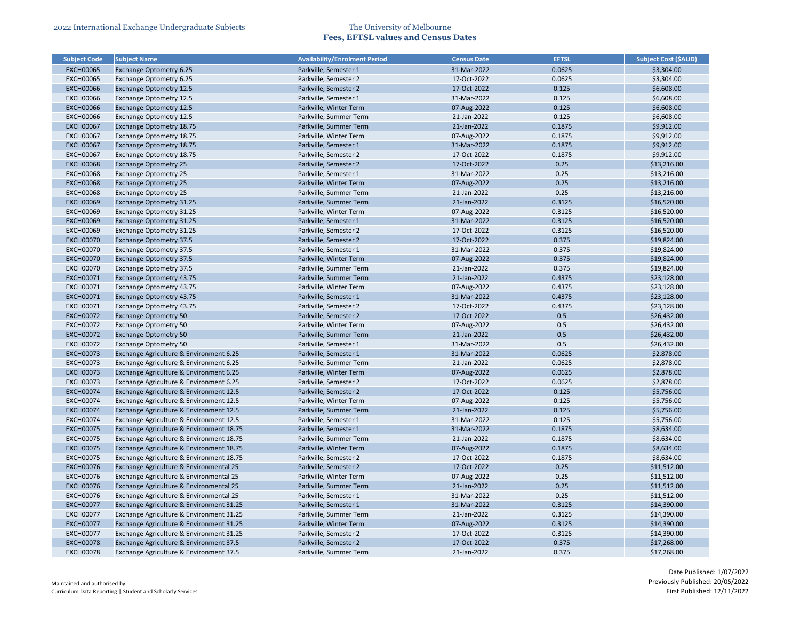| <b>Subject Code</b> | <b>Subject Name</b>                      | <b>Availability/Enrolment Period</b> | <b>Census Date</b> | <b>EFTSL</b> | <b>Subject Cost (\$AUD)</b> |
|---------------------|------------------------------------------|--------------------------------------|--------------------|--------------|-----------------------------|
| <b>EXCH00065</b>    | Exchange Optometry 6.25                  | Parkville, Semester 1                | 31-Mar-2022        | 0.0625       | \$3,304.00                  |
| <b>EXCH00065</b>    | Exchange Optometry 6.25                  | Parkville, Semester 2                | 17-Oct-2022        | 0.0625       | \$3,304.00                  |
| <b>EXCH00066</b>    | Exchange Optometry 12.5                  | Parkville, Semester 2                | 17-Oct-2022        | 0.125        | \$6,608.00                  |
| <b>EXCH00066</b>    | <b>Exchange Optometry 12.5</b>           | Parkville, Semester 1                | 31-Mar-2022        | 0.125        | \$6,608.00                  |
| <b>EXCH00066</b>    | Exchange Optometry 12.5                  | Parkville, Winter Term               | 07-Aug-2022        | 0.125        | \$6,608.00                  |
| <b>EXCH00066</b>    | <b>Exchange Optometry 12.5</b>           | Parkville, Summer Term               | 21-Jan-2022        | 0.125        | \$6,608.00                  |
| <b>EXCH00067</b>    | Exchange Optometry 18.75                 | Parkville, Summer Term               | 21-Jan-2022        | 0.1875       | \$9,912.00                  |
| <b>EXCH00067</b>    | Exchange Optometry 18.75                 | Parkville, Winter Term               | 07-Aug-2022        | 0.1875       | \$9,912.00                  |
| <b>EXCH00067</b>    | Exchange Optometry 18.75                 | Parkville, Semester 1                | 31-Mar-2022        | 0.1875       | \$9,912.00                  |
| <b>EXCH00067</b>    | Exchange Optometry 18.75                 | Parkville, Semester 2                | 17-Oct-2022        | 0.1875       | \$9,912.00                  |
| <b>EXCH00068</b>    | <b>Exchange Optometry 25</b>             | Parkville, Semester 2                | 17-Oct-2022        | 0.25         | \$13,216.00                 |
| <b>EXCH00068</b>    | <b>Exchange Optometry 25</b>             | Parkville, Semester 1                | 31-Mar-2022        | 0.25         | \$13,216.00                 |
| <b>EXCH00068</b>    | <b>Exchange Optometry 25</b>             | Parkville, Winter Term               | 07-Aug-2022        | 0.25         | \$13,216.00                 |
| <b>EXCH00068</b>    | <b>Exchange Optometry 25</b>             | Parkville, Summer Term               | 21-Jan-2022        | 0.25         | \$13,216.00                 |
| <b>EXCH00069</b>    | Exchange Optometry 31.25                 | Parkville, Summer Term               | 21-Jan-2022        | 0.3125       | \$16,520.00                 |
| <b>EXCH00069</b>    | Exchange Optometry 31.25                 | Parkville, Winter Term               | 07-Aug-2022        | 0.3125       | \$16,520.00                 |
| <b>EXCH00069</b>    | Exchange Optometry 31.25                 | Parkville, Semester 1                | 31-Mar-2022        | 0.3125       | \$16,520.00                 |
| <b>EXCH00069</b>    | <b>Exchange Optometry 31.25</b>          | Parkville, Semester 2                | 17-Oct-2022        | 0.3125       | \$16,520.00                 |
| <b>EXCH00070</b>    | <b>Exchange Optometry 37.5</b>           | Parkville, Semester 2                | 17-Oct-2022        | 0.375        | \$19,824.00                 |
| <b>EXCH00070</b>    | <b>Exchange Optometry 37.5</b>           | Parkville, Semester 1                | 31-Mar-2022        | 0.375        | \$19,824.00                 |
| <b>EXCH00070</b>    | <b>Exchange Optometry 37.5</b>           | Parkville, Winter Term               | 07-Aug-2022        | 0.375        | \$19,824.00                 |
| <b>EXCH00070</b>    | Exchange Optometry 37.5                  | Parkville, Summer Term               | 21-Jan-2022        | 0.375        | \$19,824.00                 |
| <b>EXCH00071</b>    | Exchange Optometry 43.75                 | Parkville, Summer Term               | 21-Jan-2022        | 0.4375       | \$23,128.00                 |
| <b>EXCH00071</b>    | Exchange Optometry 43.75                 | Parkville, Winter Term               | 07-Aug-2022        | 0.4375       | \$23,128.00                 |
| <b>EXCH00071</b>    | Exchange Optometry 43.75                 | Parkville, Semester 1                | 31-Mar-2022        | 0.4375       | \$23,128.00                 |
| <b>EXCH00071</b>    | Exchange Optometry 43.75                 | Parkville, Semester 2                | 17-Oct-2022        | 0.4375       | \$23,128.00                 |
| <b>EXCH00072</b>    | <b>Exchange Optometry 50</b>             | Parkville, Semester 2                | 17-Oct-2022        | 0.5          | \$26,432.00                 |
| <b>EXCH00072</b>    | <b>Exchange Optometry 50</b>             | Parkville, Winter Term               | 07-Aug-2022        | 0.5          | \$26,432.00                 |
| <b>EXCH00072</b>    | <b>Exchange Optometry 50</b>             | Parkville, Summer Term               | 21-Jan-2022        | 0.5          | \$26,432.00                 |
| <b>EXCH00072</b>    | <b>Exchange Optometry 50</b>             | Parkville, Semester 1                | 31-Mar-2022        | 0.5          | \$26,432.00                 |
| <b>EXCH00073</b>    | Exchange Agriculture & Environment 6.25  | Parkville, Semester 1                | 31-Mar-2022        | 0.0625       | \$2,878.00                  |
| <b>EXCH00073</b>    | Exchange Agriculture & Environment 6.25  | Parkville, Summer Term               | 21-Jan-2022        | 0.0625       | \$2,878.00                  |
| <b>EXCH00073</b>    | Exchange Agriculture & Environment 6.25  | Parkville, Winter Term               | 07-Aug-2022        | 0.0625       | \$2,878.00                  |
| <b>EXCH00073</b>    | Exchange Agriculture & Environment 6.25  | Parkville, Semester 2                | 17-Oct-2022        | 0.0625       | \$2,878.00                  |
| <b>EXCH00074</b>    | Exchange Agriculture & Environment 12.5  | Parkville, Semester 2                | 17-Oct-2022        | 0.125        | \$5,756.00                  |
| <b>EXCH00074</b>    | Exchange Agriculture & Environment 12.5  | Parkville, Winter Term               | 07-Aug-2022        | 0.125        | \$5,756.00                  |
| <b>EXCH00074</b>    | Exchange Agriculture & Environment 12.5  | Parkville, Summer Term               | 21-Jan-2022        | 0.125        | \$5,756.00                  |
| <b>EXCH00074</b>    | Exchange Agriculture & Environment 12.5  | Parkville, Semester 1                | 31-Mar-2022        | 0.125        | \$5,756.00                  |
| <b>EXCH00075</b>    | Exchange Agriculture & Environment 18.75 | Parkville, Semester 1                | 31-Mar-2022        | 0.1875       | \$8,634.00                  |
| <b>EXCH00075</b>    | Exchange Agriculture & Environment 18.75 | Parkville, Summer Term               | 21-Jan-2022        | 0.1875       | \$8,634.00                  |
| <b>EXCH00075</b>    | Exchange Agriculture & Environment 18.75 | Parkville, Winter Term               | 07-Aug-2022        | 0.1875       | \$8,634.00                  |
| <b>EXCH00075</b>    | Exchange Agriculture & Environment 18.75 | Parkville, Semester 2                | 17-Oct-2022        | 0.1875       | \$8,634.00                  |
| <b>EXCH00076</b>    | Exchange Agriculture & Environmental 25  | Parkville, Semester 2                | 17-Oct-2022        | 0.25         | \$11,512.00                 |
| <b>EXCH00076</b>    | Exchange Agriculture & Environmental 25  | Parkville, Winter Term               | 07-Aug-2022        | 0.25         | \$11,512.00                 |
| <b>EXCH00076</b>    | Exchange Agriculture & Environmental 25  | Parkville, Summer Term               | 21-Jan-2022        | 0.25         | \$11,512.00                 |
| <b>EXCH00076</b>    | Exchange Agriculture & Environmental 25  | Parkville, Semester 1                | 31-Mar-2022        | 0.25         | \$11,512.00                 |
| <b>EXCH00077</b>    | Exchange Agriculture & Environment 31.25 | Parkville, Semester 1                | 31-Mar-2022        | 0.3125       | \$14,390.00                 |
| <b>EXCH00077</b>    | Exchange Agriculture & Environment 31.25 | Parkville, Summer Term               | 21-Jan-2022        | 0.3125       | \$14,390.00                 |
| <b>EXCH00077</b>    | Exchange Agriculture & Environment 31.25 | Parkville, Winter Term               | 07-Aug-2022        | 0.3125       | \$14,390.00                 |
| <b>EXCH00077</b>    | Exchange Agriculture & Environment 31.25 | Parkville, Semester 2                | 17-Oct-2022        | 0.3125       | \$14,390.00                 |
| <b>EXCH00078</b>    |                                          | Parkville, Semester 2                | 17-Oct-2022        | 0.375        |                             |
|                     | Exchange Agriculture & Environment 37.5  |                                      |                    |              | \$17,268.00                 |
| <b>EXCH00078</b>    | Exchange Agriculture & Environment 37.5  | Parkville, Summer Term               | 21-Jan-2022        | 0.375        | \$17,268.00                 |

| <b>Subject Cost (\$AUD)</b> |
|-----------------------------|
| \$3,304.00                  |
| \$3,304.00                  |
| \$6,608.00                  |
| \$6,608.00                  |
| \$6,608.00                  |
| \$6,608.00                  |
| \$9,912.00                  |
| \$9,912.00                  |
| \$9,912.00                  |
| \$9,912.00                  |
| \$13,216.00                 |
| \$13,216.00                 |
| \$13,216.00                 |
| \$13,216.00                 |
| \$16,520.00                 |
| \$16,520.00                 |
| \$16,520.00                 |
| \$16,520.00                 |
| \$19,824.00                 |
| \$19,824.00                 |
| \$19,824.00                 |
| \$19,824.00                 |
| \$23,128.00                 |
| \$23,128.00                 |
| \$23,128.00                 |
| \$23,128.00                 |
| \$26,432.00                 |
| \$26,432.00                 |
| \$26,432.00                 |
| \$26,432.00                 |
| \$2,878.00                  |
| \$2,878.00                  |
| \$2,878.00                  |
| \$2,878.00                  |
| \$5,756.00                  |
| \$5,756.00                  |
| \$5,756.00                  |
| \$5,756.00                  |
| \$8,634.00                  |
| \$8,634.00                  |
| \$8,634.00                  |
| \$8,634.00                  |
| \$11,512.00                 |
| \$11,512.00                 |
| \$11,512.00                 |
| \$11,512.00                 |
| \$14,390.00                 |
| \$14,390.00                 |
| \$14,390.00                 |
| \$14,390.00                 |
| \$17,268.00                 |
| \$17,268.00                 |
|                             |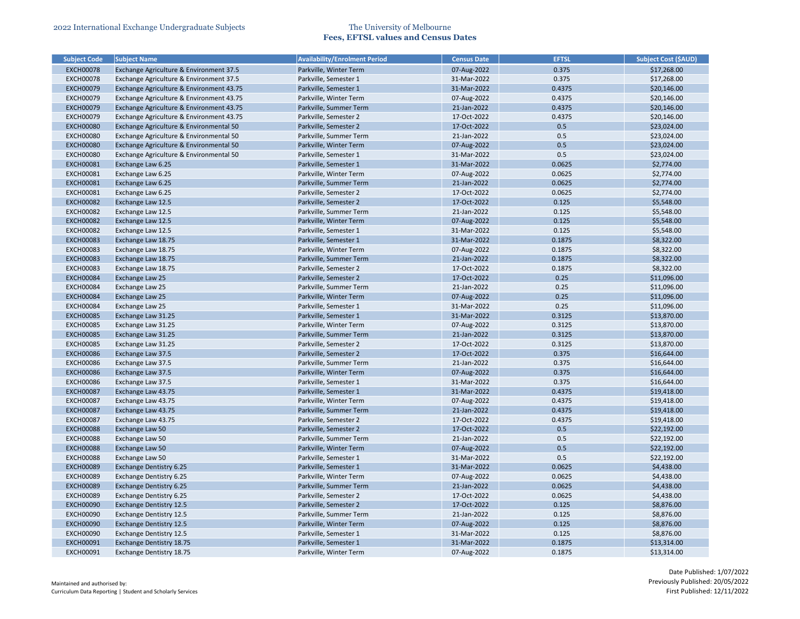| <b>Subject Code</b> | <b>Subject Name</b>                      | <b>Availability/Enrolment Period</b> | <b>Census Date</b> | <b>EFTSL</b> | <b>Subject Cost (\$AUD)</b> |
|---------------------|------------------------------------------|--------------------------------------|--------------------|--------------|-----------------------------|
| <b>EXCH00078</b>    | Exchange Agriculture & Environment 37.5  | Parkville, Winter Term               | 07-Aug-2022        | 0.375        | \$17,268.00                 |
| <b>EXCH00078</b>    | Exchange Agriculture & Environment 37.5  | Parkville, Semester 1                | 31-Mar-2022        | 0.375        | \$17,268.00                 |
| <b>EXCH00079</b>    | Exchange Agriculture & Environment 43.75 | Parkville, Semester 1                | 31-Mar-2022        | 0.4375       | \$20,146.00                 |
| <b>EXCH00079</b>    | Exchange Agriculture & Environment 43.75 | Parkville, Winter Term               | 07-Aug-2022        | 0.4375       | \$20,146.00                 |
| <b>EXCH00079</b>    | Exchange Agriculture & Environment 43.75 | Parkville, Summer Term               | 21-Jan-2022        | 0.4375       | \$20,146.00                 |
| <b>EXCH00079</b>    | Exchange Agriculture & Environment 43.75 | Parkville, Semester 2                | 17-Oct-2022        | 0.4375       | \$20,146.00                 |
| <b>EXCH00080</b>    | Exchange Agriculture & Environmental 50  | Parkville, Semester 2                | 17-Oct-2022        | 0.5          | \$23,024.00                 |
| <b>EXCH00080</b>    | Exchange Agriculture & Environmental 50  | Parkville, Summer Term               | 21-Jan-2022        | 0.5          | \$23,024.00                 |
| <b>EXCH00080</b>    | Exchange Agriculture & Environmental 50  | Parkville, Winter Term               | 07-Aug-2022        | 0.5          | \$23,024.00                 |
| <b>EXCH00080</b>    | Exchange Agriculture & Environmental 50  | Parkville, Semester 1                | 31-Mar-2022        | 0.5          | \$23,024.00                 |
| <b>EXCH00081</b>    | Exchange Law 6.25                        | Parkville, Semester 1                | 31-Mar-2022        | 0.0625       | \$2,774.00                  |
| <b>EXCH00081</b>    | Exchange Law 6.25                        | Parkville, Winter Term               | 07-Aug-2022        | 0.0625       | \$2,774.00                  |
| <b>EXCH00081</b>    | Exchange Law 6.25                        | Parkville, Summer Term               | 21-Jan-2022        | 0.0625       | \$2,774.00                  |
| <b>EXCH00081</b>    | Exchange Law 6.25                        | Parkville, Semester 2                | 17-Oct-2022        | 0.0625       | \$2,774.00                  |
| <b>EXCH00082</b>    | Exchange Law 12.5                        | Parkville, Semester 2                | 17-Oct-2022        | 0.125        | \$5,548.00                  |
| <b>EXCH00082</b>    | Exchange Law 12.5                        | Parkville, Summer Term               | 21-Jan-2022        | 0.125        | \$5,548.00                  |
| <b>EXCH00082</b>    | Exchange Law 12.5                        | Parkville, Winter Term               | 07-Aug-2022        | 0.125        | \$5,548.00                  |
| <b>EXCH00082</b>    | Exchange Law 12.5                        | Parkville, Semester 1                | 31-Mar-2022        | 0.125        | \$5,548.00                  |
| <b>EXCH00083</b>    | Exchange Law 18.75                       | Parkville, Semester 1                | 31-Mar-2022        | 0.1875       | \$8,322.00                  |
| <b>EXCH00083</b>    | Exchange Law 18.75                       | Parkville, Winter Term               | 07-Aug-2022        | 0.1875       | \$8,322.00                  |
| <b>EXCH00083</b>    | Exchange Law 18.75                       | Parkville, Summer Term               | 21-Jan-2022        | 0.1875       | \$8,322.00                  |
| <b>EXCH00083</b>    | Exchange Law 18.75                       | Parkville, Semester 2                | 17-Oct-2022        | 0.1875       | \$8,322.00                  |
| <b>EXCH00084</b>    | Exchange Law 25                          | Parkville, Semester 2                | 17-Oct-2022        | 0.25         | \$11,096.00                 |
| <b>EXCH00084</b>    | Exchange Law 25                          | Parkville, Summer Term               | 21-Jan-2022        | 0.25         | \$11,096.00                 |
| <b>EXCH00084</b>    | Exchange Law 25                          | Parkville, Winter Term               | 07-Aug-2022        | 0.25         | \$11,096.00                 |
| <b>EXCH00084</b>    | Exchange Law 25                          | Parkville, Semester 1                | 31-Mar-2022        | 0.25         | \$11,096.00                 |
| <b>EXCH00085</b>    | Exchange Law 31.25                       | Parkville, Semester 1                | 31-Mar-2022        | 0.3125       | \$13,870.00                 |
| <b>EXCH00085</b>    | Exchange Law 31.25                       | Parkville, Winter Term               | 07-Aug-2022        | 0.3125       | \$13,870.00                 |
| <b>EXCH00085</b>    | Exchange Law 31.25                       | Parkville, Summer Term               | 21-Jan-2022        | 0.3125       | \$13,870.00                 |
| <b>EXCH00085</b>    | Exchange Law 31.25                       | Parkville, Semester 2                | 17-Oct-2022        | 0.3125       | \$13,870.00                 |
| <b>EXCH00086</b>    | Exchange Law 37.5                        | Parkville, Semester 2                | 17-Oct-2022        | 0.375        | \$16,644.00                 |
| <b>EXCH00086</b>    | Exchange Law 37.5                        | Parkville, Summer Term               | 21-Jan-2022        | 0.375        | \$16,644.00                 |
| <b>EXCH00086</b>    | Exchange Law 37.5                        | Parkville, Winter Term               | 07-Aug-2022        | 0.375        | \$16,644.00                 |
| <b>EXCH00086</b>    | Exchange Law 37.5                        | Parkville, Semester 1                | 31-Mar-2022        | 0.375        | \$16,644.00                 |
| <b>EXCH00087</b>    | Exchange Law 43.75                       | Parkville, Semester 1                | 31-Mar-2022        | 0.4375       | \$19,418.00                 |
| <b>EXCH00087</b>    | Exchange Law 43.75                       | Parkville, Winter Term               | 07-Aug-2022        | 0.4375       | \$19,418.00                 |
| <b>EXCH00087</b>    | Exchange Law 43.75                       | Parkville, Summer Term               | 21-Jan-2022        | 0.4375       | \$19,418.00                 |
| <b>EXCH00087</b>    | Exchange Law 43.75                       | Parkville, Semester 2                | 17-Oct-2022        | 0.4375       | \$19,418.00                 |
| <b>EXCH00088</b>    | Exchange Law 50                          | Parkville, Semester 2                | 17-Oct-2022        | 0.5          | \$22,192.00                 |
| <b>EXCH00088</b>    | Exchange Law 50                          | Parkville, Summer Term               | 21-Jan-2022        | 0.5          | \$22,192.00                 |
| <b>EXCH00088</b>    | <b>Exchange Law 50</b>                   | Parkville, Winter Term               | 07-Aug-2022        | 0.5          | \$22,192.00                 |
| <b>EXCH00088</b>    | Exchange Law 50                          | Parkville, Semester 1                | 31-Mar-2022        | 0.5          | \$22,192.00                 |
| <b>EXCH00089</b>    | <b>Exchange Dentistry 6.25</b>           | Parkville, Semester 1                | 31-Mar-2022        | 0.0625       | \$4,438.00                  |
| <b>EXCH00089</b>    | Exchange Dentistry 6.25                  | Parkville, Winter Term               | 07-Aug-2022        | 0.0625       | \$4,438.00                  |
| <b>EXCH00089</b>    | Exchange Dentistry 6.25                  | Parkville, Summer Term               | 21-Jan-2022        | 0.0625       | \$4,438.00                  |
| <b>EXCH00089</b>    | Exchange Dentistry 6.25                  | Parkville, Semester 2                | 17-Oct-2022        | 0.0625       | \$4,438.00                  |
| <b>EXCH00090</b>    | <b>Exchange Dentistry 12.5</b>           | Parkville, Semester 2                | 17-Oct-2022        | 0.125        | \$8,876.00                  |
| <b>EXCH00090</b>    | <b>Exchange Dentistry 12.5</b>           | Parkville, Summer Term               | 21-Jan-2022        | 0.125        | \$8,876.00                  |
| <b>EXCH00090</b>    | <b>Exchange Dentistry 12.5</b>           | Parkville, Winter Term               | 07-Aug-2022        | 0.125        | \$8,876.00                  |
| <b>EXCH00090</b>    | <b>Exchange Dentistry 12.5</b>           | Parkville, Semester 1                | 31-Mar-2022        | 0.125        | \$8,876.00                  |
| <b>EXCH00091</b>    | Exchange Dentistry 18.75                 | Parkville, Semester 1                | 31-Mar-2022        | 0.1875       | \$13,314.00                 |
|                     |                                          |                                      |                    |              |                             |
| <b>EXCH00091</b>    | Exchange Dentistry 18.75                 | Parkville, Winter Term               | 07-Aug-2022        | 0.1875       | \$13,314.00                 |

| <b>Subject Cost (\$AUD)</b> |
|-----------------------------|
| \$17,268.00                 |
| \$17,268.00                 |
| \$20,146.00                 |
| \$20,146.00                 |
| \$20,146.00                 |
| \$20,146.00                 |
| \$23,024.00                 |
| \$23,024.00                 |
| \$23,024.00                 |
| \$23,024.00                 |
| \$2,774.00                  |
| \$2,774.00                  |
| \$2,774.00                  |
| \$2,774.00                  |
| \$5,548.00                  |
| \$5,548.00                  |
| \$5,548.00                  |
| \$5,548.00                  |
| \$8,322.00                  |
| \$8,322.00                  |
| \$8,322.00                  |
| \$8,322.00                  |
| \$11,096.00                 |
| \$11,096.00                 |
| \$11,096.00                 |
| \$11,096.00                 |
| \$13,870.00                 |
| \$13,870.00                 |
| \$13,870.00                 |
| \$13,870.00                 |
| \$16,644.00                 |
| \$16,644.00                 |
| \$16,644.00                 |
| \$16,644.00                 |
| \$19,418.00                 |
| \$19,418.00                 |
| \$19,418.00                 |
| \$19,418.00                 |
| \$22,192.00                 |
| \$22,192.00                 |
| \$22,192.00                 |
| \$22,192.00                 |
| \$4,438.00                  |
| \$4,438.00                  |
| \$4,438.00                  |
| \$4,438.00                  |
| \$8,876.00                  |
| \$8,876.00                  |
| \$8,876.00                  |
| \$8,876.00                  |
| \$13,314.00                 |
| \$13,314.00                 |
|                             |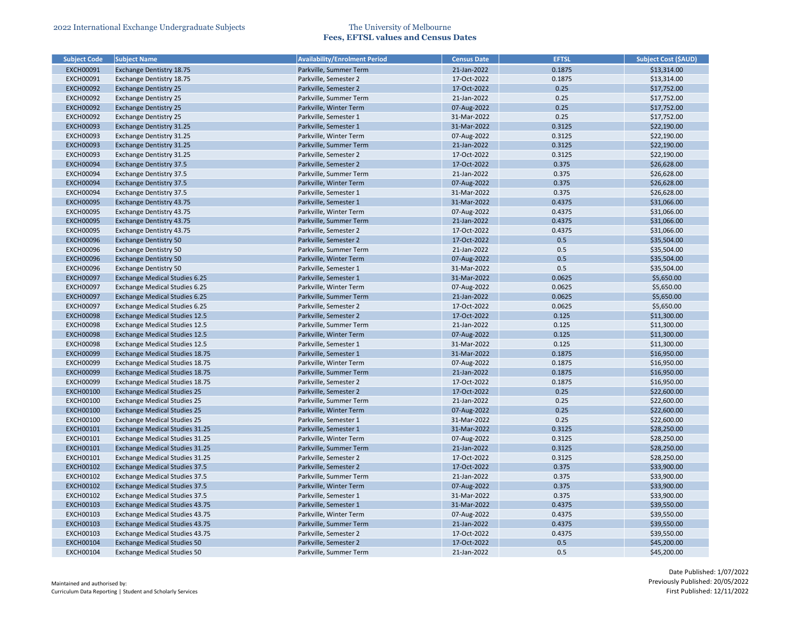| <b>Subject Code</b>                  | <b>Subject Name</b>                   | <b>Availability/Enrolment Period</b> | <b>Census Date</b>         | <b>EFTSL</b>   | <b>Subject Cost (\$AUD)</b> |
|--------------------------------------|---------------------------------------|--------------------------------------|----------------------------|----------------|-----------------------------|
| <b>EXCH00091</b>                     | <b>Exchange Dentistry 18.75</b>       | Parkville, Summer Term               | 21-Jan-2022                | 0.1875         | \$13,314.00                 |
| <b>EXCH00091</b>                     | Exchange Dentistry 18.75              | Parkville, Semester 2                | 17-Oct-2022                | 0.1875         | \$13,314.00                 |
| <b>EXCH00092</b>                     | <b>Exchange Dentistry 25</b>          | Parkville, Semester 2                | 17-Oct-2022                | 0.25           | \$17,752.00                 |
| <b>EXCH00092</b>                     | <b>Exchange Dentistry 25</b>          | Parkville, Summer Term               | 21-Jan-2022                | 0.25           | \$17,752.00                 |
| <b>EXCH00092</b>                     | <b>Exchange Dentistry 25</b>          | Parkville, Winter Term               | 07-Aug-2022                | 0.25           | \$17,752.00                 |
| <b>EXCH00092</b>                     | <b>Exchange Dentistry 25</b>          | Parkville, Semester 1                | 31-Mar-2022                | 0.25           | \$17,752.00                 |
| <b>EXCH00093</b>                     | <b>Exchange Dentistry 31.25</b>       | Parkville, Semester 1                | 31-Mar-2022                | 0.3125         | \$22,190.00                 |
| <b>EXCH00093</b>                     | Exchange Dentistry 31.25              | Parkville, Winter Term               | 07-Aug-2022                | 0.3125         | \$22,190.00                 |
| <b>EXCH00093</b>                     | <b>Exchange Dentistry 31.25</b>       | Parkville, Summer Term               | 21-Jan-2022                | 0.3125         | \$22,190.00                 |
| <b>EXCH00093</b>                     | Exchange Dentistry 31.25              | Parkville, Semester 2                | 17-Oct-2022                | 0.3125         | \$22,190.00                 |
| <b>EXCH00094</b>                     | <b>Exchange Dentistry 37.5</b>        | Parkville, Semester 2                | 17-Oct-2022                | 0.375          | \$26,628.00                 |
| <b>EXCH00094</b>                     | <b>Exchange Dentistry 37.5</b>        | Parkville, Summer Term               | 21-Jan-2022                | 0.375          | \$26,628.00                 |
| <b>EXCH00094</b>                     | <b>Exchange Dentistry 37.5</b>        | Parkville, Winter Term               | 07-Aug-2022                | 0.375          | \$26,628.00                 |
| <b>EXCH00094</b>                     | <b>Exchange Dentistry 37.5</b>        | Parkville, Semester 1                | 31-Mar-2022                | 0.375          | \$26,628.00                 |
| <b>EXCH00095</b>                     | <b>Exchange Dentistry 43.75</b>       | Parkville, Semester 1                | 31-Mar-2022                | 0.4375         | \$31,066.00                 |
| <b>EXCH00095</b>                     | Exchange Dentistry 43.75              | Parkville, Winter Term               | 07-Aug-2022                | 0.4375         | \$31,066.00                 |
| <b>EXCH00095</b>                     | <b>Exchange Dentistry 43.75</b>       | Parkville, Summer Term               | 21-Jan-2022                | 0.4375         | \$31,066.00                 |
| <b>EXCH00095</b>                     | <b>Exchange Dentistry 43.75</b>       | Parkville, Semester 2                | 17-Oct-2022                | 0.4375         | \$31,066.00                 |
| <b>EXCH00096</b>                     | <b>Exchange Dentistry 50</b>          | Parkville, Semester 2                | 17-Oct-2022                | 0.5            | \$35,504.00                 |
| <b>EXCH00096</b>                     | <b>Exchange Dentistry 50</b>          | Parkville, Summer Term               | 21-Jan-2022                | 0.5            | \$35,504.00                 |
| <b>EXCH00096</b>                     | <b>Exchange Dentistry 50</b>          | Parkville, Winter Term               | 07-Aug-2022                | 0.5            | \$35,504.00                 |
| <b>EXCH00096</b>                     |                                       | Parkville, Semester 1                | 31-Mar-2022                | 0.5            |                             |
|                                      | <b>Exchange Dentistry 50</b>          |                                      | 31-Mar-2022                | 0.0625         | \$35,504.00<br>\$5,650.00   |
| <b>EXCH00097</b>                     | <b>Exchange Medical Studies 6.25</b>  | Parkville, Semester 1                |                            | 0.0625         |                             |
| <b>EXCH00097</b>                     | <b>Exchange Medical Studies 6.25</b>  | Parkville, Winter Term               | 07-Aug-2022                | 0.0625         | \$5,650.00                  |
| <b>EXCH00097</b>                     | <b>Exchange Medical Studies 6.25</b>  | Parkville, Summer Term               | 21-Jan-2022                |                | \$5,650.00                  |
| <b>EXCH00097</b>                     | <b>Exchange Medical Studies 6.25</b>  | Parkville, Semester 2                | 17-Oct-2022                | 0.0625         | \$5,650.00                  |
| <b>EXCH00098</b>                     | <b>Exchange Medical Studies 12.5</b>  | Parkville, Semester 2                | 17-Oct-2022                | 0.125          | \$11,300.00                 |
| <b>EXCH00098</b>                     | <b>Exchange Medical Studies 12.5</b>  | Parkville, Summer Term               | 21-Jan-2022                | 0.125          | \$11,300.00                 |
| <b>EXCH00098</b><br><b>EXCH00098</b> | <b>Exchange Medical Studies 12.5</b>  | Parkville, Winter Term               | 07-Aug-2022<br>31-Mar-2022 | 0.125<br>0.125 | \$11,300.00                 |
|                                      | <b>Exchange Medical Studies 12.5</b>  | Parkville, Semester 1                | 31-Mar-2022                | 0.1875         | \$11,300.00<br>\$16,950.00  |
| <b>EXCH00099</b>                     | <b>Exchange Medical Studies 18.75</b> | Parkville, Semester 1                |                            |                |                             |
| <b>EXCH00099</b>                     | <b>Exchange Medical Studies 18.75</b> | Parkville, Winter Term               | 07-Aug-2022                | 0.1875         | \$16,950.00                 |
| <b>EXCH00099</b>                     | <b>Exchange Medical Studies 18.75</b> | Parkville, Summer Term               | 21-Jan-2022                | 0.1875         | \$16,950.00                 |
| <b>EXCH00099</b>                     | <b>Exchange Medical Studies 18.75</b> | Parkville, Semester 2                | 17-Oct-2022                | 0.1875         | \$16,950.00                 |
| <b>EXCH00100</b>                     | <b>Exchange Medical Studies 25</b>    | Parkville, Semester 2                | 17-Oct-2022                | 0.25           | \$22,600.00                 |
| <b>EXCH00100</b>                     | <b>Exchange Medical Studies 25</b>    | Parkville, Summer Term               | 21-Jan-2022                | 0.25           | \$22,600.00                 |
| <b>EXCH00100</b>                     | <b>Exchange Medical Studies 25</b>    | Parkville, Winter Term               | 07-Aug-2022                | 0.25           | \$22,600.00                 |
| <b>EXCH00100</b>                     | <b>Exchange Medical Studies 25</b>    | Parkville, Semester 1                | 31-Mar-2022                | 0.25           | \$22,600.00                 |
| <b>EXCH00101</b>                     | <b>Exchange Medical Studies 31.25</b> | Parkville, Semester 1                | 31-Mar-2022                | 0.3125         | \$28,250.00                 |
| <b>EXCH00101</b>                     | Exchange Medical Studies 31.25        | Parkville, Winter Term               | 07-Aug-2022                | 0.3125         | \$28,250.00                 |
| <b>EXCH00101</b>                     | <b>Exchange Medical Studies 31.25</b> | Parkville, Summer Term               | 21-Jan-2022                | 0.3125         | \$28,250.00                 |
| <b>EXCH00101</b>                     | <b>Exchange Medical Studies 31.25</b> | Parkville, Semester 2                | 17-Oct-2022                | 0.3125         | \$28,250.00                 |
| <b>EXCH00102</b>                     | <b>Exchange Medical Studies 37.5</b>  | Parkville, Semester 2                | 17-Oct-2022                | 0.375          | \$33,900.00                 |
| <b>EXCH00102</b>                     | <b>Exchange Medical Studies 37.5</b>  | Parkville, Summer Term               | 21-Jan-2022                | 0.375          | \$33,900.00                 |
| <b>EXCH00102</b>                     | <b>Exchange Medical Studies 37.5</b>  | Parkville, Winter Term               | 07-Aug-2022                | 0.375          | \$33,900.00                 |
| <b>EXCH00102</b>                     | <b>Exchange Medical Studies 37.5</b>  | Parkville, Semester 1                | 31-Mar-2022                | 0.375          | \$33,900.00                 |
| <b>EXCH00103</b>                     | <b>Exchange Medical Studies 43.75</b> | Parkville, Semester 1                | 31-Mar-2022                | 0.4375         | \$39,550.00                 |
| <b>EXCH00103</b>                     | <b>Exchange Medical Studies 43.75</b> | Parkville, Winter Term               | 07-Aug-2022                | 0.4375         | \$39,550.00                 |
| <b>EXCH00103</b>                     | <b>Exchange Medical Studies 43.75</b> | Parkville, Summer Term               | 21-Jan-2022                | 0.4375         | \$39,550.00                 |
| <b>EXCH00103</b>                     | <b>Exchange Medical Studies 43.75</b> | Parkville, Semester 2                | 17-Oct-2022                | 0.4375         | \$39,550.00                 |
| <b>EXCH00104</b>                     | <b>Exchange Medical Studies 50</b>    | Parkville, Semester 2                | 17-Oct-2022                | 0.5            | \$45,200.00                 |
| <b>EXCH00104</b>                     | <b>Exchange Medical Studies 50</b>    | Parkville, Summer Term               | 21-Jan-2022                | 0.5            | \$45,200.00                 |

| <b>Subject Cost (\$AUD)</b> |
|-----------------------------|
| \$13,314.00                 |
| \$13,314.00                 |
| \$17,752.00                 |
| \$17,752.00                 |
| \$17,752.00                 |
| \$17,752.00                 |
| \$22,190.00                 |
| \$22,190.00                 |
| \$22,190.00                 |
| \$22,190.00                 |
| \$26,628.00                 |
| \$26,628.00                 |
| \$26,628.00                 |
| \$26,628.00                 |
| \$31,066.00                 |
| \$31,066.00                 |
| \$31,066.00                 |
| \$31,066.00                 |
| \$35,504.00                 |
| \$35,504.00                 |
| \$35,504.00                 |
| \$35,504.00                 |
| \$5,650.00                  |
| \$5,650.00                  |
| \$5,650.00                  |
| \$5,650.00                  |
| \$11,300.00                 |
| \$11,300.00                 |
| \$11,300.00                 |
| \$11,300.00                 |
| \$16,950.00                 |
| \$16,950.00                 |
| \$16,950.00                 |
| \$16,950.00                 |
| \$22,600.00                 |
| \$22,600.00                 |
| \$22,600.00                 |
| \$22,600.00                 |
| \$28,250.00                 |
| \$28,250.00                 |
| \$28,250.00                 |
| \$28,250.00                 |
| \$33,900.00                 |
| \$33,900.00                 |
| \$33,900.00                 |
| \$33,900.00                 |
| \$39,550.00                 |
| \$39,550.00                 |
| \$39,550.00                 |
| \$39,550.00                 |
| \$45,200.00                 |
| \$45,200.00                 |
|                             |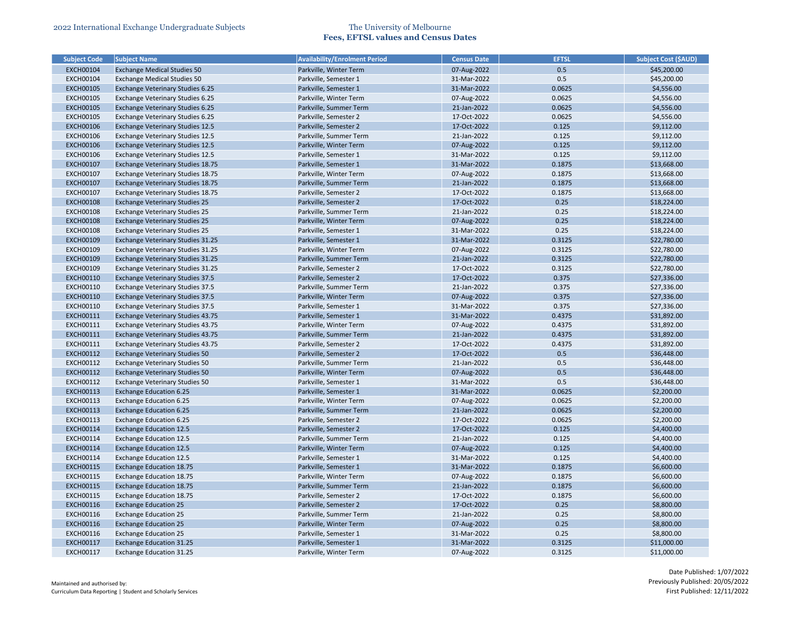| <b>Subject Code</b> | <b>Subject Name</b>                     | <b>Availability/Enrolment Period</b> | <b>Census Date</b> | <b>EFTSL</b> | <b>Subject Cost (\$AUD)</b> |
|---------------------|-----------------------------------------|--------------------------------------|--------------------|--------------|-----------------------------|
| <b>EXCH00104</b>    | <b>Exchange Medical Studies 50</b>      | Parkville, Winter Term               | 07-Aug-2022        | 0.5          | \$45,200.00                 |
| <b>EXCH00104</b>    | <b>Exchange Medical Studies 50</b>      | Parkville, Semester 1                | 31-Mar-2022        | 0.5          | \$45,200.00                 |
| <b>EXCH00105</b>    | Exchange Veterinary Studies 6.25        | Parkville, Semester 1                | 31-Mar-2022        | 0.0625       | \$4,556.00                  |
| <b>EXCH00105</b>    | Exchange Veterinary Studies 6.25        | Parkville, Winter Term               | 07-Aug-2022        | 0.0625       | \$4,556.00                  |
| <b>EXCH00105</b>    | Exchange Veterinary Studies 6.25        | Parkville, Summer Term               | 21-Jan-2022        | 0.0625       | \$4,556.00                  |
| <b>EXCH00105</b>    | Exchange Veterinary Studies 6.25        | Parkville, Semester 2                | 17-Oct-2022        | 0.0625       | \$4,556.00                  |
| <b>EXCH00106</b>    | <b>Exchange Veterinary Studies 12.5</b> | Parkville, Semester 2                | 17-Oct-2022        | 0.125        | \$9,112.00                  |
| <b>EXCH00106</b>    | Exchange Veterinary Studies 12.5        | Parkville, Summer Term               | 21-Jan-2022        | 0.125        | \$9,112.00                  |
| <b>EXCH00106</b>    | <b>Exchange Veterinary Studies 12.5</b> | Parkville, Winter Term               | 07-Aug-2022        | 0.125        | \$9,112.00                  |
| <b>EXCH00106</b>    | Exchange Veterinary Studies 12.5        | Parkville, Semester 1                | 31-Mar-2022        | 0.125        | \$9,112.00                  |
| <b>EXCH00107</b>    | Exchange Veterinary Studies 18.75       | Parkville, Semester 1                | 31-Mar-2022        | 0.1875       | \$13,668.00                 |
| <b>EXCH00107</b>    | Exchange Veterinary Studies 18.75       | Parkville, Winter Term               | 07-Aug-2022        | 0.1875       | \$13,668.00                 |
| <b>EXCH00107</b>    | Exchange Veterinary Studies 18.75       | Parkville, Summer Term               | 21-Jan-2022        | 0.1875       | \$13,668.00                 |
| <b>EXCH00107</b>    | Exchange Veterinary Studies 18.75       | Parkville, Semester 2                | 17-Oct-2022        | 0.1875       | \$13,668.00                 |
| <b>EXCH00108</b>    | <b>Exchange Veterinary Studies 25</b>   | Parkville, Semester 2                | 17-Oct-2022        | 0.25         | \$18,224.00                 |
| <b>EXCH00108</b>    | <b>Exchange Veterinary Studies 25</b>   | Parkville, Summer Term               | 21-Jan-2022        | 0.25         | \$18,224.00                 |
| <b>EXCH00108</b>    | <b>Exchange Veterinary Studies 25</b>   | Parkville, Winter Term               | 07-Aug-2022        | 0.25         | \$18,224.00                 |
| <b>EXCH00108</b>    | <b>Exchange Veterinary Studies 25</b>   | Parkville, Semester 1                | 31-Mar-2022        | 0.25         | \$18,224.00                 |
| <b>EXCH00109</b>    | Exchange Veterinary Studies 31.25       | Parkville, Semester 1                | 31-Mar-2022        | 0.3125       | \$22,780.00                 |
| <b>EXCH00109</b>    | Exchange Veterinary Studies 31.25       | Parkville, Winter Term               | 07-Aug-2022        | 0.3125       | \$22,780.00                 |
| <b>EXCH00109</b>    | Exchange Veterinary Studies 31.25       | Parkville, Summer Term               | 21-Jan-2022        | 0.3125       | \$22,780.00                 |
| <b>EXCH00109</b>    | Exchange Veterinary Studies 31.25       | Parkville, Semester 2                | 17-Oct-2022        | 0.3125       | \$22,780.00                 |
| <b>EXCH00110</b>    | <b>Exchange Veterinary Studies 37.5</b> | Parkville, Semester 2                | 17-Oct-2022        | 0.375        | \$27,336.00                 |
| EXCH00110           | <b>Exchange Veterinary Studies 37.5</b> | Parkville, Summer Term               | 21-Jan-2022        | 0.375        | \$27,336.00                 |
| <b>EXCH00110</b>    | <b>Exchange Veterinary Studies 37.5</b> | Parkville, Winter Term               | 07-Aug-2022        | 0.375        | \$27,336.00                 |
| EXCH00110           | <b>Exchange Veterinary Studies 37.5</b> | Parkville, Semester 1                | 31-Mar-2022        | 0.375        | \$27,336.00                 |
| <b>EXCH00111</b>    | Exchange Veterinary Studies 43.75       | Parkville, Semester 1                | 31-Mar-2022        | 0.4375       | \$31,892.00                 |
| EXCH00111           | Exchange Veterinary Studies 43.75       | Parkville, Winter Term               | 07-Aug-2022        | 0.4375       | \$31,892.00                 |
| <b>EXCH00111</b>    | Exchange Veterinary Studies 43.75       | Parkville, Summer Term               | 21-Jan-2022        | 0.4375       | \$31,892.00                 |
| <b>EXCH00111</b>    | Exchange Veterinary Studies 43.75       | Parkville, Semester 2                | 17-Oct-2022        | 0.4375       | \$31,892.00                 |
| <b>EXCH00112</b>    | Exchange Veterinary Studies 50          | Parkville, Semester 2                | 17-Oct-2022        | 0.5          | \$36,448.00                 |
| <b>EXCH00112</b>    | Exchange Veterinary Studies 50          | Parkville, Summer Term               | 21-Jan-2022        | 0.5          | \$36,448.00                 |
| <b>EXCH00112</b>    | <b>Exchange Veterinary Studies 50</b>   | Parkville, Winter Term               | 07-Aug-2022        | 0.5          | \$36,448.00                 |
| <b>EXCH00112</b>    | <b>Exchange Veterinary Studies 50</b>   | Parkville, Semester 1                | 31-Mar-2022        | 0.5          | \$36,448.00                 |
| <b>EXCH00113</b>    | <b>Exchange Education 6.25</b>          | Parkville, Semester 1                | 31-Mar-2022        | 0.0625       | \$2,200.00                  |
| <b>EXCH00113</b>    | <b>Exchange Education 6.25</b>          | Parkville, Winter Term               | 07-Aug-2022        | 0.0625       | \$2,200.00                  |
| EXCH00113           | <b>Exchange Education 6.25</b>          | Parkville, Summer Term               | 21-Jan-2022        | 0.0625       | \$2,200.00                  |
| <b>EXCH00113</b>    | <b>Exchange Education 6.25</b>          | Parkville, Semester 2                | 17-Oct-2022        | 0.0625       | \$2,200.00                  |
| <b>EXCH00114</b>    | <b>Exchange Education 12.5</b>          | Parkville, Semester 2                | 17-Oct-2022        | 0.125        | \$4,400.00                  |
| EXCH00114           | <b>Exchange Education 12.5</b>          | Parkville, Summer Term               | 21-Jan-2022        | 0.125        | \$4,400.00                  |
| <b>EXCH00114</b>    | <b>Exchange Education 12.5</b>          | Parkville, Winter Term               | 07-Aug-2022        | 0.125        | \$4,400.00                  |
| <b>EXCH00114</b>    | <b>Exchange Education 12.5</b>          | Parkville, Semester 1                | 31-Mar-2022        | 0.125        | \$4,400.00                  |
| <b>EXCH00115</b>    | <b>Exchange Education 18.75</b>         | Parkville, Semester 1                | 31-Mar-2022        | 0.1875       | \$6,600.00                  |
| <b>EXCH00115</b>    | <b>Exchange Education 18.75</b>         | Parkville, Winter Term               | 07-Aug-2022        | 0.1875       | \$6,600.00                  |
| <b>EXCH00115</b>    | <b>Exchange Education 18.75</b>         | Parkville, Summer Term               | 21-Jan-2022        | 0.1875       | \$6,600.00                  |
| <b>EXCH00115</b>    |                                         |                                      | 17-Oct-2022        | 0.1875       | \$6,600.00                  |
|                     | <b>Exchange Education 18.75</b>         | Parkville, Semester 2                |                    |              |                             |
| <b>EXCH00116</b>    | <b>Exchange Education 25</b>            | Parkville, Semester 2                | 17-Oct-2022        | 0.25         | \$8,800.00                  |
| EXCH00116           | <b>Exchange Education 25</b>            | Parkville, Summer Term               | 21-Jan-2022        | 0.25<br>0.25 | \$8,800.00                  |
| <b>EXCH00116</b>    | <b>Exchange Education 25</b>            | Parkville, Winter Term               | 07-Aug-2022        |              | \$8,800.00                  |
| <b>EXCH00116</b>    | <b>Exchange Education 25</b>            | Parkville, Semester 1                | 31-Mar-2022        | 0.25         | \$8,800.00                  |
| <b>EXCH00117</b>    | <b>Exchange Education 31.25</b>         | Parkville, Semester 1                | 31-Mar-2022        | 0.3125       | \$11,000.00                 |
| <b>EXCH00117</b>    | Exchange Education 31.25                | Parkville, Winter Term               | 07-Aug-2022        | 0.3125       | \$11,000.00                 |

| <b>Subject Cost (\$AUD)</b> |
|-----------------------------|
| \$45,200.00                 |
| \$45,200.00                 |
| \$4,556.00                  |
| \$4,556.00                  |
| \$4,556.00                  |
| \$4,556.00                  |
| \$9,112.00                  |
| \$9,112.00                  |
| \$9,112.00                  |
| \$9,112.00                  |
| \$13,668.00                 |
| \$13,668.00                 |
| \$13,668.00                 |
| \$13,668.00                 |
| \$18,224.00                 |
| \$18,224.00                 |
| \$18,224.00                 |
| \$18,224.00                 |
| \$22,780.00                 |
| \$22,780.00                 |
| \$22,780.00                 |
| \$22,780.00                 |
| \$27,336.00                 |
| \$27,336.00                 |
| \$27,336.00                 |
| \$27,336.00                 |
| \$31,892.00                 |
| \$31,892.00                 |
| \$31,892.00                 |
| \$31,892.00                 |
| \$36,448.00                 |
| \$36,448.00                 |
| \$36,448.00                 |
| \$36,448.00                 |
| \$2,200.00                  |
| \$2,200.00                  |
| \$2,200.00                  |
| \$2,200.00                  |
| \$4,400.00                  |
| \$4,400.00                  |
| \$4,400.00                  |
| \$4,400.00                  |
| \$6,600.00                  |
| \$6,600.00                  |
| \$6,600.00                  |
| \$6,600.00                  |
| \$8,800.00                  |
| \$8,800.00                  |
| \$8,800.00                  |
| \$8,800.00                  |
| \$11,000.00                 |
| \$11,000.00                 |
|                             |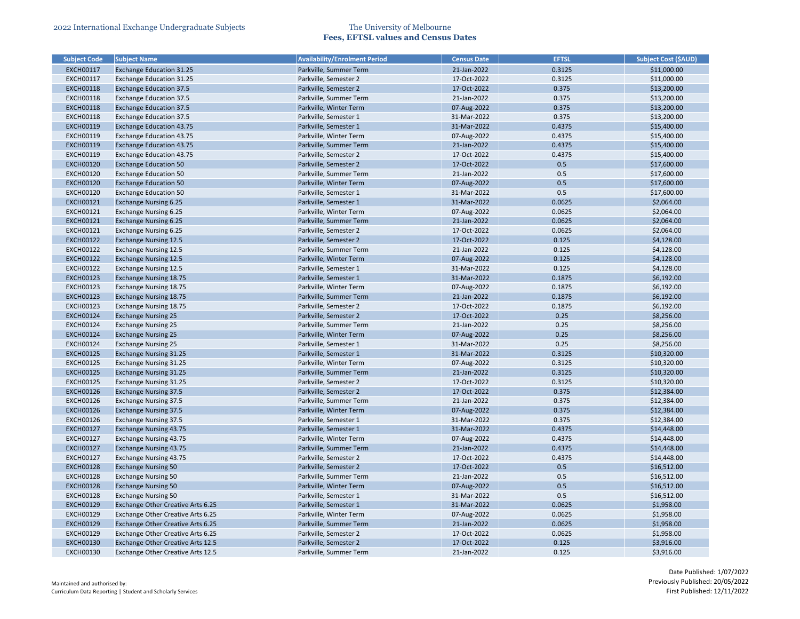| <b>Subject Code</b> | <b>Subject Name</b>               | <b>Availability/Enrolment Period</b> | <b>Census Date</b> | <b>EFTSL</b> | <b>Subject Cost (\$AUD)</b> |
|---------------------|-----------------------------------|--------------------------------------|--------------------|--------------|-----------------------------|
| <b>EXCH00117</b>    | <b>Exchange Education 31.25</b>   | Parkville, Summer Term               | 21-Jan-2022        | 0.3125       | \$11,000.00                 |
| <b>EXCH00117</b>    | <b>Exchange Education 31.25</b>   | Parkville, Semester 2                | 17-Oct-2022        | 0.3125       | \$11,000.00                 |
| <b>EXCH00118</b>    | <b>Exchange Education 37.5</b>    | Parkville, Semester 2                | 17-Oct-2022        | 0.375        | \$13,200.00                 |
| <b>EXCH00118</b>    | <b>Exchange Education 37.5</b>    | Parkville, Summer Term               | 21-Jan-2022        | 0.375        | \$13,200.00                 |
| <b>EXCH00118</b>    | <b>Exchange Education 37.5</b>    | Parkville, Winter Term               | 07-Aug-2022        | 0.375        | \$13,200.00                 |
| <b>EXCH00118</b>    | <b>Exchange Education 37.5</b>    | Parkville, Semester 1                | 31-Mar-2022        | 0.375        | \$13,200.00                 |
| <b>EXCH00119</b>    | <b>Exchange Education 43.75</b>   | Parkville, Semester 1                | 31-Mar-2022        | 0.4375       | \$15,400.00                 |
| <b>EXCH00119</b>    | <b>Exchange Education 43.75</b>   | Parkville, Winter Term               | 07-Aug-2022        | 0.4375       | \$15,400.00                 |
| <b>EXCH00119</b>    | <b>Exchange Education 43.75</b>   | Parkville, Summer Term               | 21-Jan-2022        | 0.4375       | \$15,400.00                 |
| <b>EXCH00119</b>    | <b>Exchange Education 43.75</b>   | Parkville, Semester 2                | 17-Oct-2022        | 0.4375       | \$15,400.00                 |
| <b>EXCH00120</b>    | <b>Exchange Education 50</b>      | Parkville, Semester 2                | 17-Oct-2022        | 0.5          | \$17,600.00                 |
| <b>EXCH00120</b>    | <b>Exchange Education 50</b>      | Parkville, Summer Term               | 21-Jan-2022        | 0.5          | \$17,600.00                 |
| <b>EXCH00120</b>    | <b>Exchange Education 50</b>      | Parkville, Winter Term               | 07-Aug-2022        | 0.5          | \$17,600.00                 |
| <b>EXCH00120</b>    | <b>Exchange Education 50</b>      | Parkville, Semester 1                | 31-Mar-2022        | 0.5          | \$17,600.00                 |
| <b>EXCH00121</b>    | <b>Exchange Nursing 6.25</b>      | Parkville, Semester 1                | 31-Mar-2022        | 0.0625       | \$2,064.00                  |
| <b>EXCH00121</b>    | Exchange Nursing 6.25             | Parkville, Winter Term               | 07-Aug-2022        | 0.0625       | \$2,064.00                  |
| <b>EXCH00121</b>    | <b>Exchange Nursing 6.25</b>      | Parkville, Summer Term               | 21-Jan-2022        | 0.0625       | \$2,064.00                  |
| <b>EXCH00121</b>    | <b>Exchange Nursing 6.25</b>      | Parkville, Semester 2                | 17-Oct-2022        | 0.0625       | \$2,064.00                  |
| <b>EXCH00122</b>    | <b>Exchange Nursing 12.5</b>      | Parkville, Semester 2                | 17-Oct-2022        | 0.125        | \$4,128.00                  |
| <b>EXCH00122</b>    | <b>Exchange Nursing 12.5</b>      | Parkville, Summer Term               | 21-Jan-2022        | 0.125        | \$4,128.00                  |
| <b>EXCH00122</b>    | <b>Exchange Nursing 12.5</b>      | Parkville, Winter Term               | 07-Aug-2022        | 0.125        | \$4,128.00                  |
| <b>EXCH00122</b>    | <b>Exchange Nursing 12.5</b>      | Parkville, Semester 1                | 31-Mar-2022        | 0.125        | \$4,128.00                  |
| <b>EXCH00123</b>    | <b>Exchange Nursing 18.75</b>     | Parkville, Semester 1                | 31-Mar-2022        | 0.1875       | \$6,192.00                  |
| <b>EXCH00123</b>    | Exchange Nursing 18.75            | Parkville, Winter Term               | 07-Aug-2022        | 0.1875       | \$6,192.00                  |
| <b>EXCH00123</b>    | <b>Exchange Nursing 18.75</b>     | Parkville, Summer Term               | 21-Jan-2022        | 0.1875       | \$6,192.00                  |
| <b>EXCH00123</b>    | <b>Exchange Nursing 18.75</b>     | Parkville, Semester 2                | 17-Oct-2022        | 0.1875       | \$6,192.00                  |
| <b>EXCH00124</b>    | <b>Exchange Nursing 25</b>        | Parkville, Semester 2                | 17-Oct-2022        | 0.25         | \$8,256.00                  |
| <b>EXCH00124</b>    | <b>Exchange Nursing 25</b>        | Parkville, Summer Term               | 21-Jan-2022        | 0.25         | \$8,256.00                  |
| <b>EXCH00124</b>    | <b>Exchange Nursing 25</b>        | Parkville, Winter Term               | 07-Aug-2022        | 0.25         | \$8,256.00                  |
| <b>EXCH00124</b>    | <b>Exchange Nursing 25</b>        | Parkville, Semester 1                | 31-Mar-2022        | 0.25         | \$8,256.00                  |
| <b>EXCH00125</b>    | <b>Exchange Nursing 31.25</b>     | Parkville, Semester 1                | 31-Mar-2022        | 0.3125       | \$10,320.00                 |
| <b>EXCH00125</b>    | Exchange Nursing 31.25            | Parkville, Winter Term               | 07-Aug-2022        | 0.3125       | \$10,320.00                 |
| <b>EXCH00125</b>    | <b>Exchange Nursing 31.25</b>     | Parkville, Summer Term               | 21-Jan-2022        | 0.3125       | \$10,320.00                 |
| <b>EXCH00125</b>    | <b>Exchange Nursing 31.25</b>     | Parkville, Semester 2                | 17-Oct-2022        | 0.3125       | \$10,320.00                 |
| <b>EXCH00126</b>    | <b>Exchange Nursing 37.5</b>      | Parkville, Semester 2                | 17-Oct-2022        | 0.375        | \$12,384.00                 |
| <b>EXCH00126</b>    | <b>Exchange Nursing 37.5</b>      | Parkville, Summer Term               | 21-Jan-2022        | 0.375        | \$12,384.00                 |
| <b>EXCH00126</b>    | <b>Exchange Nursing 37.5</b>      | Parkville, Winter Term               | 07-Aug-2022        | 0.375        | \$12,384.00                 |
| <b>EXCH00126</b>    | <b>Exchange Nursing 37.5</b>      | Parkville, Semester 1                | 31-Mar-2022        | 0.375        | \$12,384.00                 |
| <b>EXCH00127</b>    | <b>Exchange Nursing 43.75</b>     | Parkville, Semester 1                | 31-Mar-2022        | 0.4375       | \$14,448.00                 |
| <b>EXCH00127</b>    | Exchange Nursing 43.75            | Parkville, Winter Term               | 07-Aug-2022        | 0.4375       | \$14,448.00                 |
| <b>EXCH00127</b>    | <b>Exchange Nursing 43.75</b>     | Parkville, Summer Term               | 21-Jan-2022        | 0.4375       | \$14,448.00                 |
| <b>EXCH00127</b>    | Exchange Nursing 43.75            | Parkville, Semester 2                | 17-Oct-2022        | 0.4375       | \$14,448.00                 |
| <b>EXCH00128</b>    | <b>Exchange Nursing 50</b>        | Parkville, Semester 2                | 17-Oct-2022        | 0.5          | \$16,512.00                 |
| <b>EXCH00128</b>    | <b>Exchange Nursing 50</b>        | Parkville, Summer Term               | 21-Jan-2022        | 0.5          | \$16,512.00                 |
| <b>EXCH00128</b>    | <b>Exchange Nursing 50</b>        | Parkville, Winter Term               | 07-Aug-2022        | 0.5          | \$16,512.00                 |
| <b>EXCH00128</b>    | <b>Exchange Nursing 50</b>        | Parkville, Semester 1                | 31-Mar-2022        | 0.5          | \$16,512.00                 |
| <b>EXCH00129</b>    | Exchange Other Creative Arts 6.25 | Parkville, Semester 1                | 31-Mar-2022        | 0.0625       | \$1,958.00                  |
| <b>EXCH00129</b>    | Exchange Other Creative Arts 6.25 | Parkville, Winter Term               | 07-Aug-2022        | 0.0625       | \$1,958.00                  |
| <b>EXCH00129</b>    | Exchange Other Creative Arts 6.25 | Parkville, Summer Term               | 21-Jan-2022        | 0.0625       | \$1,958.00                  |
| <b>EXCH00129</b>    | Exchange Other Creative Arts 6.25 | Parkville, Semester 2                | 17-Oct-2022        | 0.0625       | \$1,958.00                  |
| <b>EXCH00130</b>    | Exchange Other Creative Arts 12.5 | Parkville, Semester 2                | 17-Oct-2022        | 0.125        | \$3,916.00                  |
| <b>EXCH00130</b>    |                                   |                                      | 21-Jan-2022        | 0.125        | \$3,916.00                  |
|                     | Exchange Other Creative Arts 12.5 | Parkville, Summer Term               |                    |              |                             |

| <b>Subject Cost (SAUD)</b> |
|----------------------------|
| \$11,000.00                |
| \$11,000.00                |
| \$13,200.00                |
| \$13,200.00                |
| \$13,200.00                |
| \$13,200.00                |
| \$15,400.00                |
| \$15,400.00                |
| \$15,400.00                |
| \$15,400.00                |
| \$17,600.00                |
| \$17,600.00                |
| \$17,600.00                |
| \$17,600.00                |
| \$2,064.00                 |
| \$2,064.00                 |
| \$2,064.00                 |
| \$2,064.00                 |
| \$4,128.00                 |
| \$4,128.00                 |
| \$4,128.00                 |
| \$4,128.00                 |
| \$6,192.00                 |
| \$6,192.00                 |
| \$6,192.00                 |
| \$6,192.00                 |
| \$8,256.00                 |
| \$8,256.00                 |
| \$8,256.00                 |
| \$8,256.00                 |
| \$10,320.00                |
| \$10,320.00                |
| \$10,320.00                |
| \$10,320.00                |
| \$12,384.00                |
| \$12,384.00                |
| \$12,384.00                |
| \$12,384.00                |
| \$14,448.00                |
| \$14,448.00                |
| \$14,448.00                |
| \$14,448.00                |
| \$16,512.00                |
| \$16,512.00                |
|                            |
| \$16,512.00                |
| \$16,512.00                |
| \$1,958.00                 |
| \$1,958.00                 |
| \$1,958.00                 |
| \$1,958.00                 |
| \$3,916.00                 |
| \$3,916.00                 |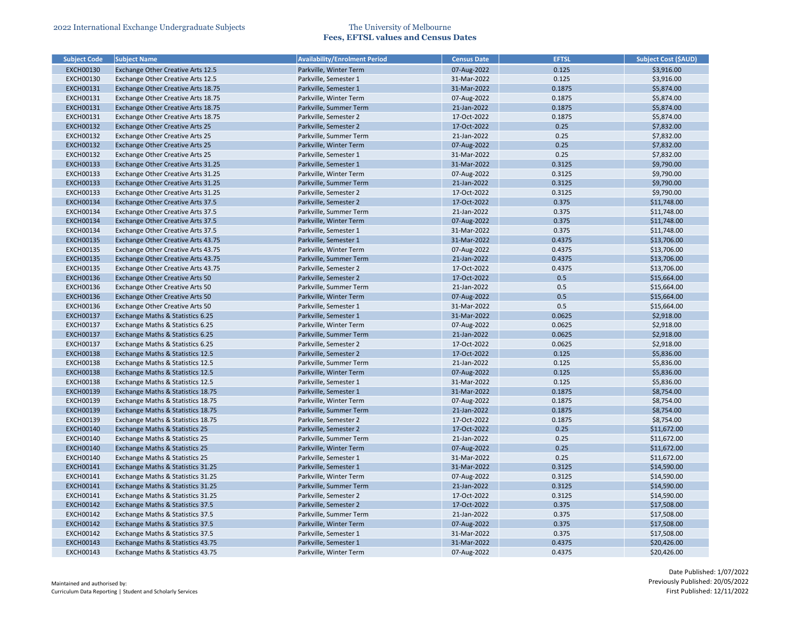| <b>Subject Code</b> | <b>Subject Name</b>                    | <b>Availability/Enrolment Period</b> | <b>Census Date</b> | <b>EFTSL</b> | <b>Subject Cost (\$AUD)</b> |
|---------------------|----------------------------------------|--------------------------------------|--------------------|--------------|-----------------------------|
| <b>EXCH00130</b>    | Exchange Other Creative Arts 12.5      | Parkville, Winter Term               | 07-Aug-2022        | 0.125        | \$3,916.00                  |
| <b>EXCH00130</b>    | Exchange Other Creative Arts 12.5      | Parkville, Semester 1                | 31-Mar-2022        | 0.125        | \$3,916.00                  |
| <b>EXCH00131</b>    | Exchange Other Creative Arts 18.75     | Parkville, Semester 1                | 31-Mar-2022        | 0.1875       | \$5,874.00                  |
| <b>EXCH00131</b>    | Exchange Other Creative Arts 18.75     | Parkville, Winter Term               | 07-Aug-2022        | 0.1875       | \$5,874.00                  |
| <b>EXCH00131</b>    | Exchange Other Creative Arts 18.75     | Parkville, Summer Term               | 21-Jan-2022        | 0.1875       | \$5,874.00                  |
| <b>EXCH00131</b>    | Exchange Other Creative Arts 18.75     | Parkville, Semester 2                | 17-Oct-2022        | 0.1875       | \$5,874.00                  |
| <b>EXCH00132</b>    | <b>Exchange Other Creative Arts 25</b> | Parkville, Semester 2                | 17-Oct-2022        | 0.25         | \$7,832.00                  |
| <b>EXCH00132</b>    | Exchange Other Creative Arts 25        | Parkville, Summer Term               | 21-Jan-2022        | 0.25         | \$7,832.00                  |
| <b>EXCH00132</b>    | Exchange Other Creative Arts 25        | Parkville, Winter Term               | 07-Aug-2022        | 0.25         | \$7,832.00                  |
| <b>EXCH00132</b>    | Exchange Other Creative Arts 25        | Parkville, Semester 1                | 31-Mar-2022        | 0.25         | \$7,832.00                  |
| <b>EXCH00133</b>    | Exchange Other Creative Arts 31.25     | Parkville, Semester 1                | 31-Mar-2022        | 0.3125       | \$9,790.00                  |
| <b>EXCH00133</b>    | Exchange Other Creative Arts 31.25     | Parkville, Winter Term               | 07-Aug-2022        | 0.3125       | \$9,790.00                  |
| <b>EXCH00133</b>    | Exchange Other Creative Arts 31.25     | Parkville, Summer Term               | 21-Jan-2022        | 0.3125       | \$9,790.00                  |
| <b>EXCH00133</b>    | Exchange Other Creative Arts 31.25     | Parkville, Semester 2                | 17-Oct-2022        | 0.3125       | \$9,790.00                  |
| <b>EXCH00134</b>    | Exchange Other Creative Arts 37.5      | Parkville, Semester 2                | 17-Oct-2022        | 0.375        | \$11,748.00                 |
| <b>EXCH00134</b>    | Exchange Other Creative Arts 37.5      | Parkville, Summer Term               | 21-Jan-2022        | 0.375        | \$11,748.00                 |
| <b>EXCH00134</b>    | Exchange Other Creative Arts 37.5      | Parkville, Winter Term               | 07-Aug-2022        | 0.375        | \$11,748.00                 |
| <b>EXCH00134</b>    | Exchange Other Creative Arts 37.5      | Parkville, Semester 1                | 31-Mar-2022        | 0.375        | \$11,748.00                 |
| <b>EXCH00135</b>    | Exchange Other Creative Arts 43.75     | Parkville, Semester 1                | 31-Mar-2022        | 0.4375       | \$13,706.00                 |
| <b>EXCH00135</b>    | Exchange Other Creative Arts 43.75     | Parkville, Winter Term               | 07-Aug-2022        | 0.4375       | \$13,706.00                 |
| <b>EXCH00135</b>    | Exchange Other Creative Arts 43.75     | Parkville, Summer Term               | 21-Jan-2022        | 0.4375       | \$13,706.00                 |
| <b>EXCH00135</b>    | Exchange Other Creative Arts 43.75     | Parkville, Semester 2                | 17-Oct-2022        | 0.4375       | \$13,706.00                 |
| <b>EXCH00136</b>    | Exchange Other Creative Arts 50        | Parkville, Semester 2                | 17-Oct-2022        | 0.5          | \$15,664.00                 |
| <b>EXCH00136</b>    | Exchange Other Creative Arts 50        | Parkville, Summer Term               | 21-Jan-2022        | 0.5          | \$15,664.00                 |
| <b>EXCH00136</b>    | Exchange Other Creative Arts 50        | Parkville, Winter Term               | 07-Aug-2022        | 0.5          | \$15,664.00                 |
| <b>EXCH00136</b>    | Exchange Other Creative Arts 50        | Parkville, Semester 1                | 31-Mar-2022        | 0.5          | \$15,664.00                 |
| <b>EXCH00137</b>    | Exchange Maths & Statistics 6.25       | Parkville, Semester 1                | 31-Mar-2022        | 0.0625       | \$2,918.00                  |
| <b>EXCH00137</b>    | Exchange Maths & Statistics 6.25       | Parkville, Winter Term               | 07-Aug-2022        | 0.0625       | \$2,918.00                  |
| <b>EXCH00137</b>    | Exchange Maths & Statistics 6.25       | Parkville, Summer Term               | 21-Jan-2022        | 0.0625       | \$2,918.00                  |
| <b>EXCH00137</b>    | Exchange Maths & Statistics 6.25       | Parkville, Semester 2                | 17-Oct-2022        | 0.0625       | \$2,918.00                  |
| <b>EXCH00138</b>    | Exchange Maths & Statistics 12.5       | Parkville, Semester 2                | 17-Oct-2022        | 0.125        | \$5,836.00                  |
| <b>EXCH00138</b>    | Exchange Maths & Statistics 12.5       | Parkville, Summer Term               | 21-Jan-2022        | 0.125        | \$5,836.00                  |
| <b>EXCH00138</b>    | Exchange Maths & Statistics 12.5       | Parkville, Winter Term               | 07-Aug-2022        | 0.125        | \$5,836.00                  |
| <b>EXCH00138</b>    | Exchange Maths & Statistics 12.5       | Parkville, Semester 1                | 31-Mar-2022        | 0.125        | \$5,836.00                  |
| <b>EXCH00139</b>    | Exchange Maths & Statistics 18.75      | Parkville, Semester 1                | 31-Mar-2022        | 0.1875       | \$8,754.00                  |
| <b>EXCH00139</b>    | Exchange Maths & Statistics 18.75      | Parkville, Winter Term               | 07-Aug-2022        | 0.1875       | \$8,754.00                  |
| <b>EXCH00139</b>    | Exchange Maths & Statistics 18.75      | Parkville, Summer Term               | 21-Jan-2022        | 0.1875       | \$8,754.00                  |
| <b>EXCH00139</b>    | Exchange Maths & Statistics 18.75      | Parkville, Semester 2                | 17-Oct-2022        | 0.1875       | \$8,754.00                  |
| <b>EXCH00140</b>    | Exchange Maths & Statistics 25         | Parkville, Semester 2                | 17-Oct-2022        | 0.25         | \$11,672.00                 |
| <b>EXCH00140</b>    | Exchange Maths & Statistics 25         | Parkville, Summer Term               | 21-Jan-2022        | 0.25         | \$11,672.00                 |
| <b>EXCH00140</b>    | Exchange Maths & Statistics 25         | Parkville, Winter Term               | 07-Aug-2022        | 0.25         | \$11,672.00                 |
| <b>EXCH00140</b>    | Exchange Maths & Statistics 25         | Parkville, Semester 1                | 31-Mar-2022        | 0.25         | \$11,672.00                 |
| <b>EXCH00141</b>    | Exchange Maths & Statistics 31.25      | Parkville, Semester 1                | 31-Mar-2022        | 0.3125       | \$14,590.00                 |
| <b>EXCH00141</b>    | Exchange Maths & Statistics 31.25      | Parkville, Winter Term               | 07-Aug-2022        | 0.3125       | \$14,590.00                 |
| <b>EXCH00141</b>    | Exchange Maths & Statistics 31.25      | Parkville, Summer Term               | 21-Jan-2022        | 0.3125       | \$14,590.00                 |
| <b>EXCH00141</b>    | Exchange Maths & Statistics 31.25      | Parkville, Semester 2                | 17-Oct-2022        | 0.3125       | \$14,590.00                 |
| <b>EXCH00142</b>    | Exchange Maths & Statistics 37.5       | Parkville, Semester 2                | 17-Oct-2022        | 0.375        | \$17,508.00                 |
| <b>EXCH00142</b>    | Exchange Maths & Statistics 37.5       | Parkville, Summer Term               | 21-Jan-2022        | 0.375        | \$17,508.00                 |
| <b>EXCH00142</b>    | Exchange Maths & Statistics 37.5       | Parkville, Winter Term               | 07-Aug-2022        | 0.375        | \$17,508.00                 |
| <b>EXCH00142</b>    | Exchange Maths & Statistics 37.5       | Parkville, Semester 1                | 31-Mar-2022        | 0.375        | \$17,508.00                 |
| <b>EXCH00143</b>    | Exchange Maths & Statistics 43.75      | Parkville, Semester 1                | 31-Mar-2022        | 0.4375       | \$20,426.00                 |
| <b>EXCH00143</b>    | Exchange Maths & Statistics 43.75      | Parkville, Winter Term               | 07-Aug-2022        | 0.4375       | \$20,426.00                 |

| <b>Subject Cost (\$AUD)</b> |
|-----------------------------|
| \$3,916.00                  |
| \$3,916.00                  |
| \$5,874.00                  |
| \$5,874.00                  |
| \$5,874.00                  |
| \$5,874.00                  |
| \$7,832.00                  |
| \$7,832.00                  |
| \$7,832.00                  |
| \$7,832.00                  |
| \$9,790.00                  |
| \$9,790.00                  |
| \$9,790.00                  |
| \$9,790.00                  |
| \$11,748.00                 |
| \$11,748.00                 |
| \$11,748.00                 |
| \$11,748.00                 |
| \$13,706.00                 |
| \$13,706.00                 |
| \$13,706.00                 |
| \$13,706.00                 |
| \$15,664.00                 |
|                             |
| \$15,664.00<br>\$15,664.00  |
| \$15,664.00                 |
| \$2,918.00                  |
|                             |
| \$2,918.00<br>\$2,918.00    |
| \$2,918.00                  |
| \$5,836.00                  |
|                             |
| \$5,836.00                  |
| \$5,836.00                  |
| \$5,836.00                  |
| \$8,754.00                  |
| \$8,754.00                  |
| \$8,754.00                  |
| \$8,754.00                  |
| \$11,672.00                 |
| \$11,672.00                 |
| \$11,672.00                 |
| \$11,672.00                 |
| \$14,590.00                 |
| \$14,590.00                 |
| \$14,590.00                 |
| \$14,590.00                 |
| \$17,508.00                 |
| \$17,508.00                 |
| \$17,508.00                 |
| \$17,508.00                 |
| \$20,426.00                 |
| \$20,426.00                 |
|                             |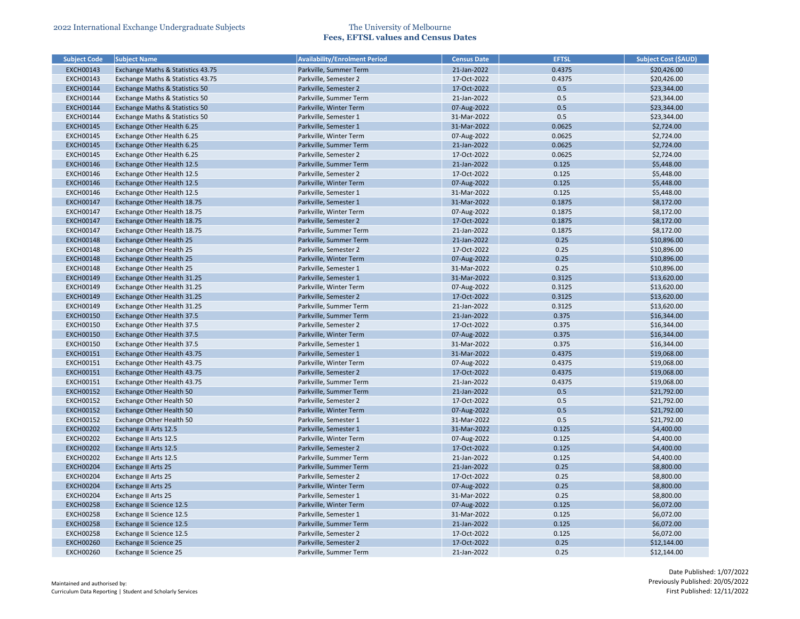| <b>Subject Code</b> | <b>Subject Name</b>                       | <b>Availability/Enrolment Period</b> | <b>Census Date</b> | <b>EFTSL</b> | <b>Subject Cost (\$AUD)</b> |
|---------------------|-------------------------------------------|--------------------------------------|--------------------|--------------|-----------------------------|
| <b>EXCH00143</b>    | Exchange Maths & Statistics 43.75         | Parkville, Summer Term               | 21-Jan-2022        | 0.4375       | \$20,426.00                 |
| <b>EXCH00143</b>    | Exchange Maths & Statistics 43.75         | Parkville, Semester 2                | 17-Oct-2022        | 0.4375       | \$20,426.00                 |
| <b>EXCH00144</b>    | <b>Exchange Maths &amp; Statistics 50</b> | Parkville, Semester 2                | 17-Oct-2022        | 0.5          | \$23,344.00                 |
| <b>EXCH00144</b>    | Exchange Maths & Statistics 50            | Parkville, Summer Term               | 21-Jan-2022        | 0.5          | \$23,344.00                 |
| <b>EXCH00144</b>    | <b>Exchange Maths &amp; Statistics 50</b> | Parkville, Winter Term               | 07-Aug-2022        | 0.5          | \$23,344.00                 |
| <b>EXCH00144</b>    | Exchange Maths & Statistics 50            | Parkville, Semester 1                | 31-Mar-2022        | 0.5          | \$23,344.00                 |
| <b>EXCH00145</b>    | Exchange Other Health 6.25                | Parkville, Semester 1                | 31-Mar-2022        | 0.0625       | \$2,724.00                  |
| <b>EXCH00145</b>    | Exchange Other Health 6.25                | Parkville, Winter Term               | 07-Aug-2022        | 0.0625       | \$2,724.00                  |
| <b>EXCH00145</b>    | Exchange Other Health 6.25                | Parkville, Summer Term               | 21-Jan-2022        | 0.0625       | \$2,724.00                  |
| <b>EXCH00145</b>    | Exchange Other Health 6.25                | Parkville, Semester 2                | 17-Oct-2022        | 0.0625       | \$2,724.00                  |
| <b>EXCH00146</b>    | Exchange Other Health 12.5                | Parkville, Summer Term               | 21-Jan-2022        | 0.125        | \$5,448.00                  |
| <b>EXCH00146</b>    | Exchange Other Health 12.5                | Parkville, Semester 2                | 17-Oct-2022        | 0.125        | \$5,448.00                  |
| <b>EXCH00146</b>    | Exchange Other Health 12.5                | Parkville, Winter Term               | 07-Aug-2022        | 0.125        | \$5,448.00                  |
| <b>EXCH00146</b>    | Exchange Other Health 12.5                | Parkville, Semester 1                | 31-Mar-2022        | 0.125        | \$5,448.00                  |
| <b>EXCH00147</b>    | Exchange Other Health 18.75               | Parkville, Semester 1                | 31-Mar-2022        | 0.1875       | \$8,172.00                  |
| <b>EXCH00147</b>    | Exchange Other Health 18.75               | Parkville, Winter Term               | 07-Aug-2022        | 0.1875       | \$8,172.00                  |
| <b>EXCH00147</b>    | Exchange Other Health 18.75               | Parkville, Semester 2                | 17-Oct-2022        | 0.1875       | \$8,172.00                  |
| <b>EXCH00147</b>    | Exchange Other Health 18.75               | Parkville, Summer Term               | 21-Jan-2022        | 0.1875       | \$8,172.00                  |
| <b>EXCH00148</b>    | <b>Exchange Other Health 25</b>           | Parkville, Summer Term               | 21-Jan-2022        | 0.25         | \$10,896.00                 |
| <b>EXCH00148</b>    | Exchange Other Health 25                  | Parkville, Semester 2                | 17-Oct-2022        | 0.25         | \$10,896.00                 |
| <b>EXCH00148</b>    | <b>Exchange Other Health 25</b>           | Parkville, Winter Term               | 07-Aug-2022        | 0.25         | \$10,896.00                 |
| <b>EXCH00148</b>    | Exchange Other Health 25                  | Parkville, Semester 1                | 31-Mar-2022        | 0.25         | \$10,896.00                 |
| <b>EXCH00149</b>    | Exchange Other Health 31.25               | Parkville, Semester 1                | 31-Mar-2022        | 0.3125       | \$13,620.00                 |
| <b>EXCH00149</b>    | Exchange Other Health 31.25               | Parkville, Winter Term               | 07-Aug-2022        | 0.3125       | \$13,620.00                 |
| <b>EXCH00149</b>    | Exchange Other Health 31.25               | Parkville, Semester 2                | 17-Oct-2022        | 0.3125       | \$13,620.00                 |
| <b>EXCH00149</b>    | Exchange Other Health 31.25               | Parkville, Summer Term               | 21-Jan-2022        | 0.3125       | \$13,620.00                 |
| <b>EXCH00150</b>    | Exchange Other Health 37.5                | Parkville, Summer Term               | 21-Jan-2022        | 0.375        | \$16,344.00                 |
| <b>EXCH00150</b>    | Exchange Other Health 37.5                | Parkville, Semester 2                | 17-Oct-2022        | 0.375        | \$16,344.00                 |
| <b>EXCH00150</b>    | Exchange Other Health 37.5                | Parkville, Winter Term               | 07-Aug-2022        | 0.375        | \$16,344.00                 |
| <b>EXCH00150</b>    | Exchange Other Health 37.5                | Parkville, Semester 1                | 31-Mar-2022        | 0.375        | \$16,344.00                 |
| EXCH00151           | Exchange Other Health 43.75               | Parkville, Semester 1                | 31-Mar-2022        | 0.4375       | \$19,068.00                 |
| <b>EXCH00151</b>    | Exchange Other Health 43.75               | Parkville, Winter Term               | 07-Aug-2022        | 0.4375       | \$19,068.00                 |
| <b>EXCH00151</b>    | Exchange Other Health 43.75               | Parkville, Semester 2                | 17-Oct-2022        | 0.4375       | \$19,068.00                 |
| <b>EXCH00151</b>    | Exchange Other Health 43.75               | Parkville, Summer Term               | 21-Jan-2022        | 0.4375       | \$19,068.00                 |
| <b>EXCH00152</b>    | <b>Exchange Other Health 50</b>           | Parkville, Summer Term               | 21-Jan-2022        | 0.5          | \$21,792.00                 |
| <b>EXCH00152</b>    | Exchange Other Health 50                  | Parkville, Semester 2                | 17-Oct-2022        | 0.5          | \$21,792.00                 |
| <b>EXCH00152</b>    | <b>Exchange Other Health 50</b>           | Parkville, Winter Term               | 07-Aug-2022        | 0.5          | \$21,792.00                 |
| <b>EXCH00152</b>    | Exchange Other Health 50                  | Parkville, Semester 1                | 31-Mar-2022        | 0.5          | \$21,792.00                 |
| <b>EXCH00202</b>    | Exchange II Arts 12.5                     | Parkville, Semester 1                | 31-Mar-2022        | 0.125        | \$4,400.00                  |
| <b>EXCH00202</b>    | Exchange II Arts 12.5                     | Parkville, Winter Term               | 07-Aug-2022        | 0.125        | \$4,400.00                  |
| <b>EXCH00202</b>    | Exchange II Arts 12.5                     | Parkville, Semester 2                | 17-Oct-2022        | 0.125        | \$4,400.00                  |
| <b>EXCH00202</b>    | Exchange II Arts 12.5                     | Parkville, Summer Term               | 21-Jan-2022        | 0.125        | \$4,400.00                  |
| <b>EXCH00204</b>    | <b>Exchange II Arts 25</b>                | Parkville, Summer Term               | 21-Jan-2022        | 0.25         | \$8,800.00                  |
| <b>EXCH00204</b>    | Exchange II Arts 25                       | Parkville, Semester 2                | 17-Oct-2022        | 0.25         | \$8,800.00                  |
| <b>EXCH00204</b>    | <b>Exchange II Arts 25</b>                | Parkville, Winter Term               | 07-Aug-2022        | 0.25         | \$8,800.00                  |
| <b>EXCH00204</b>    | Exchange II Arts 25                       | Parkville, Semester 1                | 31-Mar-2022        | 0.25         | \$8,800.00                  |
| <b>EXCH00258</b>    | Exchange II Science 12.5                  | Parkville, Winter Term               | 07-Aug-2022        | 0.125        | \$6,072.00                  |
| <b>EXCH00258</b>    | Exchange II Science 12.5                  | Parkville, Semester 1                | 31-Mar-2022        | 0.125        | \$6,072.00                  |
| <b>EXCH00258</b>    | Exchange II Science 12.5                  | Parkville, Summer Term               | 21-Jan-2022        | 0.125        | \$6,072.00                  |
| <b>EXCH00258</b>    | Exchange II Science 12.5                  | Parkville, Semester 2                | 17-Oct-2022        | 0.125        | \$6,072.00                  |
| <b>EXCH00260</b>    | <b>Exchange II Science 25</b>             | Parkville, Semester 2                | 17-Oct-2022        | 0.25         | \$12,144.00                 |
| <b>EXCH00260</b>    | Exchange II Science 25                    | Parkville, Summer Term               | 21-Jan-2022        | 0.25         | \$12,144.00                 |
|                     |                                           |                                      |                    |              |                             |

| Subject Cost (\$AUD) |
|----------------------|
| \$20,426.00          |
| \$20,426.00          |
| \$23,344.00          |
| \$23,344.00          |
| \$23,344.00          |
| \$23,344.00          |
| \$2,724.00           |
| \$2,724.00           |
| \$2,724.00           |
| \$2,724.00           |
| \$5,448.00           |
| \$5,448.00           |
| \$5,448.00           |
| \$5,448.00           |
| \$8,172.00           |
| \$8,172.00           |
| \$8,172.00           |
| \$8,172.00           |
| \$10,896.00          |
| \$10,896.00          |
| \$10,896.00          |
| \$10,896.00          |
| \$13,620.00          |
| \$13,620.00          |
| \$13,620.00          |
| \$13,620.00          |
| \$16,344.00          |
| \$16,344.00          |
| \$16,344.00          |
| \$16,344.00          |
| \$19,068.00          |
| \$19,068.00          |
| \$19,068.00          |
| \$19,068.00          |
| \$21,792.00          |
| \$21,792.00          |
| \$21,792.00          |
| \$21,792.00          |
| \$4,400.00           |
| \$4,400.00           |
| \$4,400.00           |
|                      |
| \$4,400.00           |
| \$8,800.00           |
| \$8,800.00           |
| \$8,800.00           |
| \$8,800.00           |
| \$6,072.00           |
| \$6,072.00           |
| \$6,072.00           |
| \$6,072.00           |
| \$12,144.00          |
| \$12,144.00          |